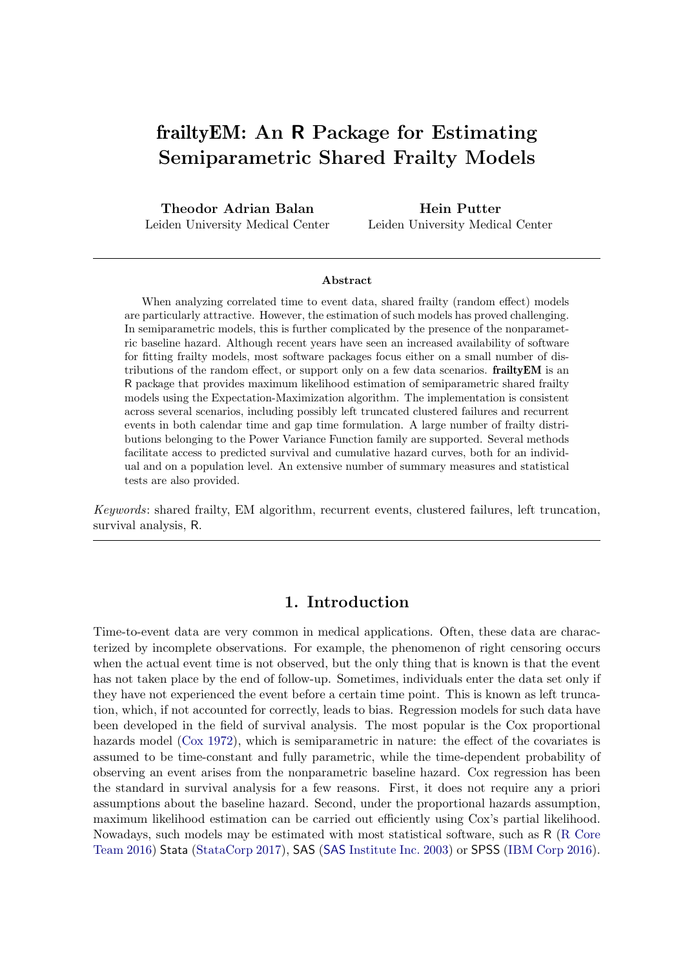# frailtyEM: An R Package for Estimating Semiparametric Shared Frailty Models

Theodor Adrian Balan Leiden University Medical Center

Hein Putter Leiden University Medical Center

#### Abstract

When analyzing correlated time to event data, shared frailty (random effect) models are particularly attractive. However, the estimation of such models has proved challenging. In semiparametric models, this is further complicated by the presence of the nonparametric baseline hazard. Although recent years have seen an increased availability of software for fitting frailty models, most software packages focus either on a small number of distributions of the random effect, or support only on a few data scenarios. **frailty EM** is an R package that provides maximum likelihood estimation of semiparametric shared frailty models using the Expectation-Maximization algorithm. The implementation is consistent across several scenarios, including possibly left truncated clustered failures and recurrent events in both calendar time and gap time formulation. A large number of frailty distributions belonging to the Power Variance Function family are supported. Several methods facilitate access to predicted survival and cumulative hazard curves, both for an individual and on a population level. An extensive number of summary measures and statistical tests are also provided.

Keywords: shared frailty, EM algorithm, recurrent events, clustered failures, left truncation, survival analysis, R.

# 1. Introduction

Time-to-event data are very common in medical applications. Often, these data are characterized by incomplete observations. For example, the phenomenon of right censoring occurs when the actual event time is not observed, but the only thing that is known is that the event has not taken place by the end of follow-up. Sometimes, individuals enter the data set only if they have not experienced the event before a certain time point. This is known as left truncation, which, if not accounted for correctly, leads to bias. Regression models for such data have been developed in the field of survival analysis. The most popular is the Cox proportional hazards model [\(Cox](#page-25-0) [1972\)](#page-25-0), which is semiparametric in nature: the effect of the covariates is assumed to be time-constant and fully parametric, while the time-dependent probability of observing an event arises from the nonparametric baseline hazard. Cox regression has been the standard in survival analysis for a few reasons. First, it does not require any a priori assumptions about the baseline hazard. Second, under the proportional hazards assumption, maximum likelihood estimation can be carried out efficiently using Cox's partial likelihood. Nowadays, such models may be estimated with most statistical software, such as R [\(R Core](#page-26-0) [Team](#page-26-0) [2016\)](#page-26-0) Stata [\(StataCorp](#page-27-0) [2017\)](#page-27-0), SAS (SAS [Institute Inc.](#page-27-1) [2003\)](#page-27-1) or SPSS [\(IBM Corp](#page-26-1) [2016\)](#page-26-1).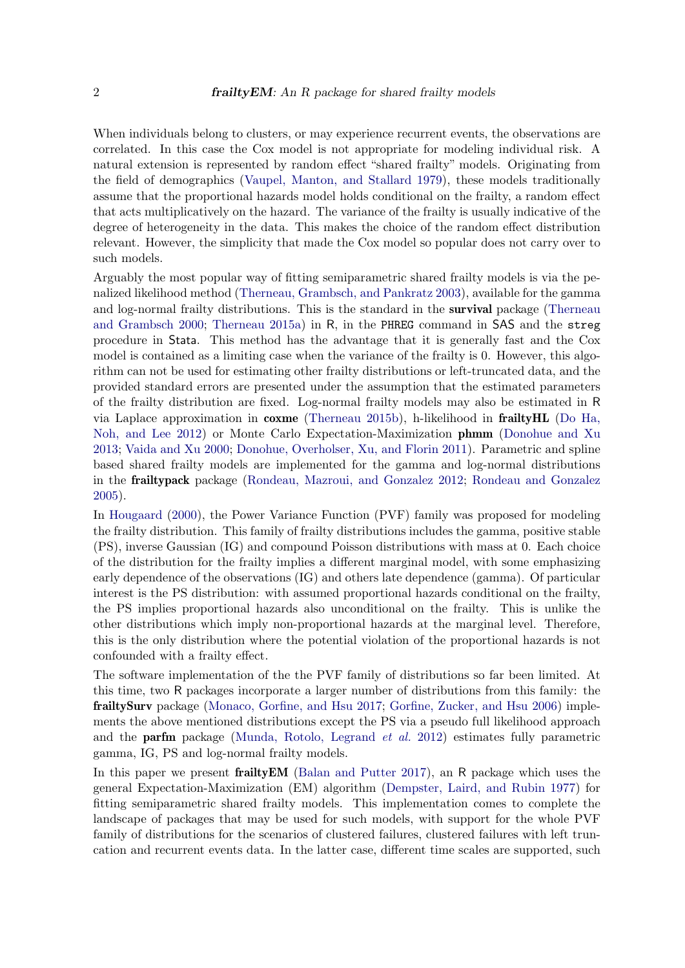When individuals belong to clusters, or may experience recurrent events, the observations are correlated. In this case the Cox model is not appropriate for modeling individual risk. A natural extension is represented by random effect "shared frailty" models. Originating from the field of demographics [\(Vaupel, Manton, and Stallard](#page-27-2) [1979\)](#page-27-2), these models traditionally assume that the proportional hazards model holds conditional on the frailty, a random effect that acts multiplicatively on the hazard. The variance of the frailty is usually indicative of the degree of heterogeneity in the data. This makes the choice of the random effect distribution relevant. However, the simplicity that made the Cox model so popular does not carry over to such models.

Arguably the most popular way of fitting semiparametric shared frailty models is via the penalized likelihood method [\(Therneau, Grambsch, and Pankratz](#page-27-3) [2003\)](#page-27-3), available for the gamma and log-normal frailty distributions. This is the standard in the **survival** package [\(Therneau](#page-27-4) [and Grambsch](#page-27-4) [2000;](#page-27-4) [Therneau](#page-27-5) [2015a\)](#page-27-5) in R, in the PHREG command in SAS and the streg procedure in Stata. This method has the advantage that it is generally fast and the Cox model is contained as a limiting case when the variance of the frailty is 0. However, this algorithm can not be used for estimating other frailty distributions or left-truncated data, and the provided standard errors are presented under the assumption that the estimated parameters of the frailty distribution are fixed. Log-normal frailty models may also be estimated in R via Laplace approximation in coxme [\(Therneau](#page-27-6) [2015b\)](#page-27-6), h-likelihood in frailtyHL [\(Do Ha,](#page-25-1) [Noh, and Lee](#page-25-1) [2012\)](#page-25-1) or Monte Carlo Expectation-Maximization phmm [\(Donohue and Xu](#page-25-2) [2013;](#page-25-2) [Vaida and Xu](#page-27-7) [2000;](#page-27-7) [Donohue, Overholser, Xu, and Florin](#page-25-3) [2011\)](#page-25-3). Parametric and spline based shared frailty models are implemented for the gamma and log-normal distributions in the frailtypack package [\(Rondeau, Mazroui, and Gonzalez](#page-27-8) [2012;](#page-27-8) [Rondeau and Gonzalez](#page-27-9) [2005\)](#page-27-9).

In [Hougaard](#page-26-2) [\(2000\)](#page-26-2), the Power Variance Function (PVF) family was proposed for modeling the frailty distribution. This family of frailty distributions includes the gamma, positive stable (PS), inverse Gaussian (IG) and compound Poisson distributions with mass at 0. Each choice of the distribution for the frailty implies a different marginal model, with some emphasizing early dependence of the observations (IG) and others late dependence (gamma). Of particular interest is the PS distribution: with assumed proportional hazards conditional on the frailty, the PS implies proportional hazards also unconditional on the frailty. This is unlike the other distributions which imply non-proportional hazards at the marginal level. Therefore, this is the only distribution where the potential violation of the proportional hazards is not confounded with a frailty effect.

The software implementation of the the PVF family of distributions so far been limited. At this time, two R packages incorporate a larger number of distributions from this family: the frailtySurv package [\(Monaco, Gorfine, and Hsu](#page-26-3) [2017;](#page-26-3) [Gorfine, Zucker, and Hsu](#page-26-4) [2006\)](#page-26-4) implements the above mentioned distributions except the PS via a pseudo full likelihood approach and the parfm package [\(Munda, Rotolo, Legrand](#page-26-5) et al. [2012\)](#page-26-5) estimates fully parametric gamma, IG, PS and log-normal frailty models.

In this paper we present **frailty EM** [\(Balan and Putter](#page-25-4) [2017\)](#page-25-4), an R package which uses the general Expectation-Maximization (EM) algorithm [\(Dempster, Laird, and Rubin](#page-25-5) [1977\)](#page-25-5) for fitting semiparametric shared frailty models. This implementation comes to complete the landscape of packages that may be used for such models, with support for the whole PVF family of distributions for the scenarios of clustered failures, clustered failures with left truncation and recurrent events data. In the latter case, different time scales are supported, such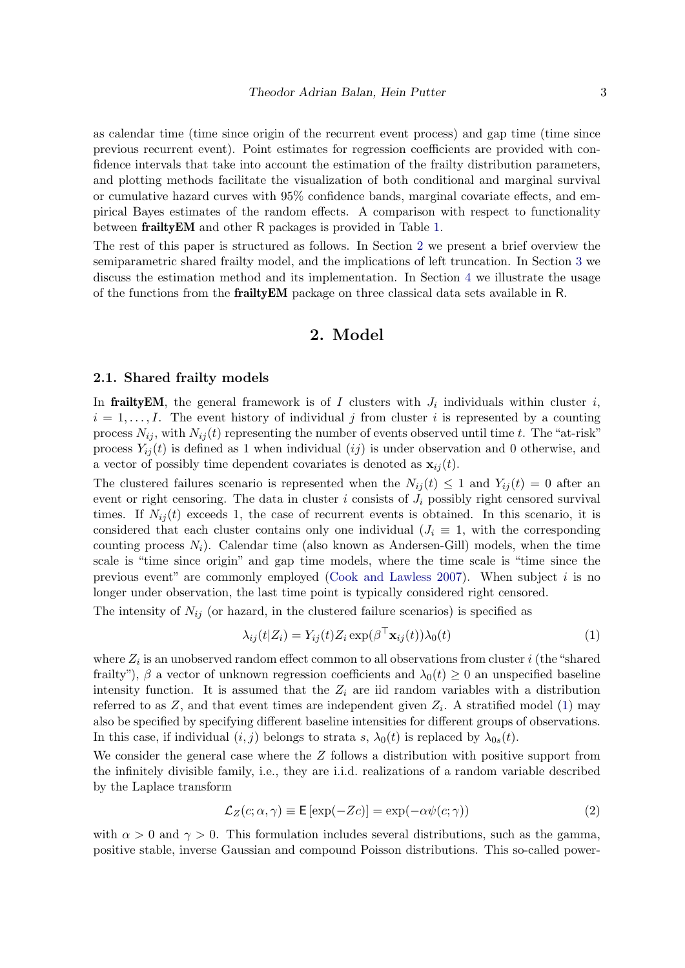as calendar time (time since origin of the recurrent event process) and gap time (time since previous recurrent event). Point estimates for regression coefficients are provided with confidence intervals that take into account the estimation of the frailty distribution parameters, and plotting methods facilitate the visualization of both conditional and marginal survival or cumulative hazard curves with 95% confidence bands, marginal covariate effects, and empirical Bayes estimates of the random effects. A comparison with respect to functionality between frailtyEM and other R packages is provided in Table [1.](#page-3-0)

The rest of this paper is structured as follows. In Section [2](#page-2-0) we present a brief overview the semiparametric shared frailty model, and the implications of left truncation. In Section [3](#page-7-0) we discuss the estimation method and its implementation. In Section [4](#page-11-0) we illustrate the usage of the functions from the frailtyEM package on three classical data sets available in R.

# 2. Model

#### <span id="page-2-0"></span>2.1. Shared frailty models

In frailty EM, the general framework is of I clusters with  $J_i$  individuals within cluster i,  $i = 1, \ldots, I$ . The event history of individual j from cluster i is represented by a counting process  $N_{ij}$ , with  $N_{ij}(t)$  representing the number of events observed until time t. The "at-risk" process  $Y_{ij}(t)$  is defined as 1 when individual  $(ij)$  is under observation and 0 otherwise, and a vector of possibly time dependent covariates is denoted as  $\mathbf{x}_{ii}(t)$ .

The clustered failures scenario is represented when the  $N_{ij}(t) \leq 1$  and  $Y_{ij}(t) = 0$  after an event or right censoring. The data in cluster  $i$  consists of  $J_i$  possibly right censored survival times. If  $N_{ij}(t)$  exceeds 1, the case of recurrent events is obtained. In this scenario, it is considered that each cluster contains only one individual  $(J_i \equiv 1, \text{ with the corresponding})$ counting process  $N_i$ ). Calendar time (also known as Andersen-Gill) models, when the time scale is "time since origin" and gap time models, where the time scale is "time since the previous event" are commonly employed [\(Cook and Lawless](#page-25-6) [2007\)](#page-25-6). When subject i is no longer under observation, the last time point is typically considered right censored.

The intensity of  $N_{ij}$  (or hazard, in the clustered failure scenarios) is specified as

<span id="page-2-1"></span>
$$
\lambda_{ij}(t|Z_i) = Y_{ij}(t)Z_i \exp(\beta^\top \mathbf{x}_{ij}(t))\lambda_0(t)
$$
\n(1)

where  $Z_i$  is an unobserved random effect common to all observations from cluster i (the "shared frailty"),  $\beta$  a vector of unknown regression coefficients and  $\lambda_0(t) \geq 0$  an unspecified baseline intensity function. It is assumed that the  $Z_i$  are iid random variables with a distribution referred to as  $Z$ , and that event times are independent given  $Z_i$ . A stratified model [\(1\)](#page-2-1) may also be specified by specifying different baseline intensities for different groups of observations. In this case, if individual  $(i, j)$  belongs to strata s,  $\lambda_0(t)$  is replaced by  $\lambda_{0s}(t)$ .

We consider the general case where the  $Z$  follows a distribution with positive support from the infinitely divisible family, i.e., they are i.i.d. realizations of a random variable described by the Laplace transform

<span id="page-2-2"></span>
$$
\mathcal{L}_Z(c; \alpha, \gamma) \equiv \mathsf{E}\left[\exp(-Zc)\right] = \exp(-\alpha \psi(c; \gamma))\tag{2}
$$

with  $\alpha > 0$  and  $\gamma > 0$ . This formulation includes several distributions, such as the gamma, positive stable, inverse Gaussian and compound Poisson distributions. This so-called power-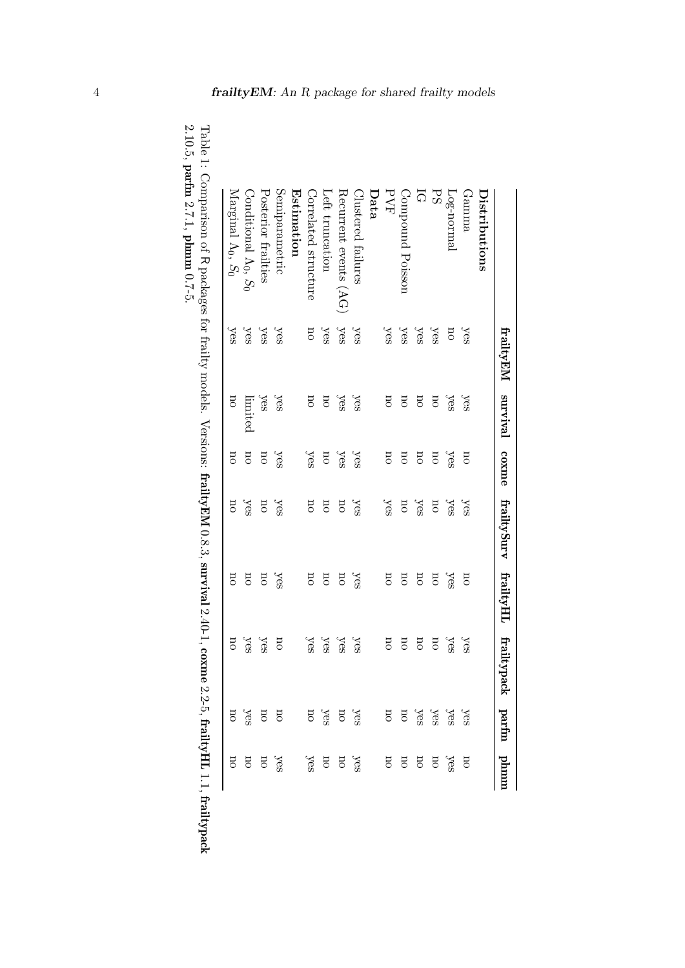|                                          | frailtyEM survival coxme |                                       |                         | frailtySurv frailtyHL   |                         | frailtypack parfm phmm  |                                                                                                                                                                                                                                                                                                                                                                                                                                                                                                    |                         |
|------------------------------------------|--------------------------|---------------------------------------|-------------------------|-------------------------|-------------------------|-------------------------|----------------------------------------------------------------------------------------------------------------------------------------------------------------------------------------------------------------------------------------------------------------------------------------------------------------------------------------------------------------------------------------------------------------------------------------------------------------------------------------------------|-------------------------|
| Distributions                            |                          |                                       |                         |                         |                         |                         |                                                                                                                                                                                                                                                                                                                                                                                                                                                                                                    |                         |
| Gamma                                    | yes                      | yes                                   | $\overline{\mathrm{U}}$ | yes                     | 5D                      | yes                     |                                                                                                                                                                                                                                                                                                                                                                                                                                                                                                    |                         |
| Log-normal                               | σu                       | yes                                   | yes                     | yes                     | yes                     | yes                     |                                                                                                                                                                                                                                                                                                                                                                                                                                                                                                    |                         |
| PS                                       | yes                      | <b>DO</b>                             | σu                      | $\overline{\mathrm{u}}$ | <b>DO</b>               | σu                      |                                                                                                                                                                                                                                                                                                                                                                                                                                                                                                    |                         |
| ភ                                        | yes                      | $_{\rm 50}$                           | $_{\rm 50}$             | yes                     | <b>DO</b>               | $\overline{\rm u}$      | $% 36%$<br>$% 36%$<br>$% 36%$<br>$% 36%$                                                                                                                                                                                                                                                                                                                                                                                                                                                           |                         |
| Compound Poisson                         | yes                      | σu                                    | <b>DO</b>               | 50                      | σu                      | σu                      |                                                                                                                                                                                                                                                                                                                                                                                                                                                                                                    |                         |
| PVF                                      | yes                      | $_{50}$                               | $_{50}$                 | yes                     | $_{50}$                 | $\overline{\mathrm{H}}$ |                                                                                                                                                                                                                                                                                                                                                                                                                                                                                                    |                         |
| Data                                     |                          |                                       |                         |                         |                         |                         |                                                                                                                                                                                                                                                                                                                                                                                                                                                                                                    |                         |
| Clustered failures                       | yes                      | yes                                   | yes                     | yes                     | yes                     | yes                     | $\begin{array}{c}\n\text{Yes} \\ \text{Yes} \\ \text{no} \\ \text{no} \\ \text{no} \\ \text{no} \\ \text{no} \\ \text{no} \\ \text{no} \\ \text{no} \\ \text{no} \\ \text{no} \\ \text{no} \\ \text{no} \\ \text{no} \\ \text{no} \\ \text{no} \\ \text{no} \\ \text{no} \\ \text{no} \\ \text{no} \\ \text{no} \\ \text{no} \\ \text{no} \\ \text{no} \\ \text{no} \\ \text{no} \\ \text{no} \\ \text{no} \\ \text{no} \\ \text{no} \\ \text{no} \\ \text{no} \\ \text{no} \\ \text{no} \\ \text$ |                         |
| $\rm Recurrent$ events $(\rm AG)$        | yes                      | yes                                   | yes                     | σu                      | 5                       | yes                     |                                                                                                                                                                                                                                                                                                                                                                                                                                                                                                    |                         |
| Left truncation                          | yes                      | <b>DO</b>                             | σu                      | $\overline{\mathrm{u}}$ | $\overline{\mathrm{u}}$ | yes                     |                                                                                                                                                                                                                                                                                                                                                                                                                                                                                                    |                         |
| Correlated structure                     | σu                       | <b>DO</b>                             | yes                     | <b>DO</b>               | σu                      | yes                     |                                                                                                                                                                                                                                                                                                                                                                                                                                                                                                    |                         |
| Estimation                               |                          |                                       |                         |                         |                         |                         |                                                                                                                                                                                                                                                                                                                                                                                                                                                                                                    |                         |
| Semiparametric                           | yes                      | yes                                   | yes                     | yes                     | yes                     | 5D                      |                                                                                                                                                                                                                                                                                                                                                                                                                                                                                                    |                         |
| Posterior frailties                      | yes                      | yes                                   | $\overline{\rm u}$      | σu                      | $\overline{\mathrm{u}}$ | yes                     |                                                                                                                                                                                                                                                                                                                                                                                                                                                                                                    |                         |
| $\text{Conditional } \Lambda_0, S_0$     | yes                      | limited                               | $\overline{\rm{m}}$     | yes                     | $\overline{\mathrm{m}}$ | yes                     | $\frac{1}{\sqrt{2}}$ on                                                                                                                                                                                                                                                                                                                                                                                                                                                                            | yes<br>no               |
| Marginal A <sub>0</sub> , S <sub>0</sub> | yes                      | $\overline{\mathrm{5}}$               | Ξ                       | ΞO                      | σu                      | $\overline{\rm G}$      | no                                                                                                                                                                                                                                                                                                                                                                                                                                                                                                 | $\overline{\mathrm{m}}$ |
| 。<br>J<br>$\overline{\phantom{a}}$       | .<br>.<br>.<br>.         | $\frac{1}{2}$<br>$\ddot{\phantom{0}}$ | $\ddot{\phantom{0}}$    | $\ddot{\phantom{0}}$    | $\frac{1}{2}$           |                         |                                                                                                                                                                                                                                                                                                                                                                                                                                                                                                    |                         |

<span id="page-3-0"></span>

| ļ<br>$\vdots$<br><b>Continued in the continued of the continued of the continued of the continued of the continued of the continued of the continued of the continued of the continued of the continued of the continued of the continued of the </b><br>l<br>Į | ーくく<br> <br> <br> }                                                                                                                                                                                                                                                                                                                                                                  |
|-----------------------------------------------------------------------------------------------------------------------------------------------------------------------------------------------------------------------------------------------------------------|--------------------------------------------------------------------------------------------------------------------------------------------------------------------------------------------------------------------------------------------------------------------------------------------------------------------------------------------------------------------------------------|
|                                                                                                                                                                                                                                                                 |                                                                                                                                                                                                                                                                                                                                                                                      |
|                                                                                                                                                                                                                                                                 | <b>CONSIST CONSIST AND ARREST AND CHARGED AND ARREST LATE CACAGE ARREST AT ALL AND ARREST AND ARREST AND ARREST AND ARREST AND ARREST AND ARREST AND ARREST AND ARREST AND ARREST AND ARREST AND ARREST AND ARREST AND ARREST AN</b><br>J<br>$\ddot{\phantom{0}}$<br>contributed in the contribution of the state of the contribution of the contribution of the contribution of the |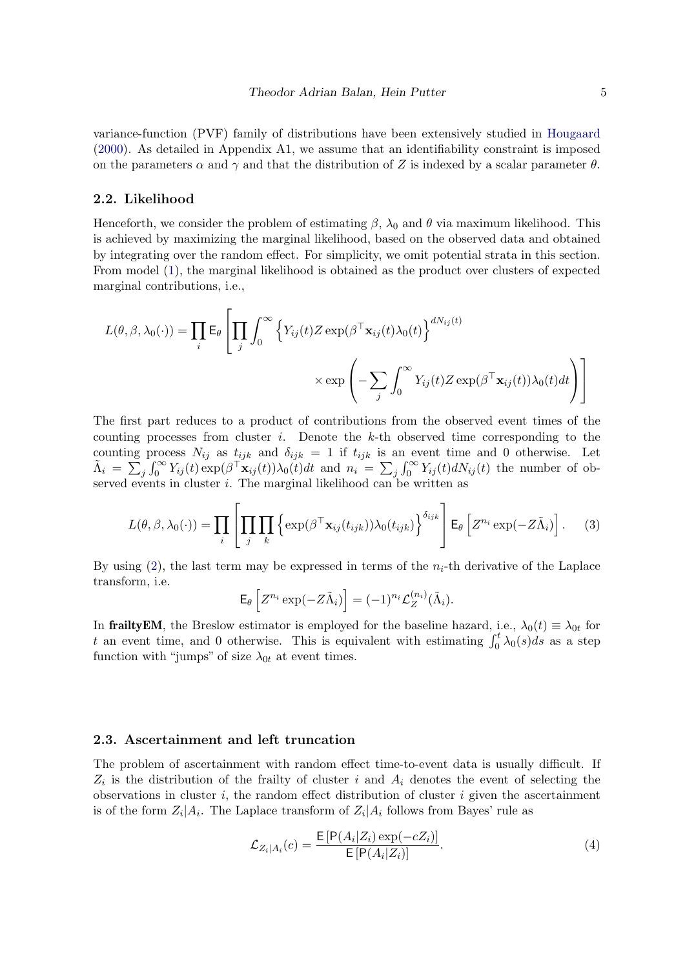variance-function (PVF) family of distributions have been extensively studied in [Hougaard](#page-26-2) [\(2000\)](#page-26-2). As detailed in Appendix A1, we assume that an identifiability constraint is imposed on the parameters  $\alpha$  and  $\gamma$  and that the distribution of Z is indexed by a scalar parameter  $\theta$ .

#### 2.2. Likelihood

Henceforth, we consider the problem of estimating  $\beta$ ,  $\lambda_0$  and  $\theta$  via maximum likelihood. This is achieved by maximizing the marginal likelihood, based on the observed data and obtained by integrating over the random effect. For simplicity, we omit potential strata in this section. From model [\(1\)](#page-2-1), the marginal likelihood is obtained as the product over clusters of expected marginal contributions, i.e.,

$$
L(\theta, \beta, \lambda_0(\cdot)) = \prod_i \mathsf{E}_{\theta} \left[ \prod_j \int_0^{\infty} \left\{ Y_{ij}(t) Z \exp(\beta^{\top} \mathbf{x}_{ij}(t) \lambda_0(t)) \right\}^{dN_{ij}(t)} \times \exp\left( - \sum_j \int_0^{\infty} Y_{ij}(t) Z \exp(\beta^{\top} \mathbf{x}_{ij}(t)) \lambda_0(t) dt \right) \right]
$$

The first part reduces to a product of contributions from the observed event times of the counting processes from cluster i. Denote the  $k$ -th observed time corresponding to the counting process  $N_{ij}$  as  $t_{ijk}$  and  $\delta_{ijk} = 1$  if  $t_{ijk}$  is an event time and 0 otherwise. Let  $\tilde{\Lambda}_i = \sum_j \int_0^\infty Y_{ij}(t) \exp(\beta \mathsf{T} \mathbf{x}_{ij}(t)) \lambda_0(t) dt$  and  $n_i = \sum_j \int_0^\infty Y_{ij}(t) dN_{ij}(t)$  the number of observed events in cluster *i*. The marginal likelihood can be written as

$$
L(\theta, \beta, \lambda_0(\cdot)) = \prod_i \left[ \prod_j \prod_k \left\{ \exp(\beta^\top \mathbf{x}_{ij}(t_{ijk})) \lambda_0(t_{ijk}) \right\}^{\delta_{ijk}} \right] \mathsf{E}_{\theta} \left[ Z^{n_i} \exp(-Z \tilde{\Lambda}_i) \right]. \tag{3}
$$

By using  $(2)$ , the last term may be expressed in terms of the  $n_i$ -th derivative of the Laplace transform, i.e.

<span id="page-4-0"></span>
$$
\mathsf{E}_{\theta}\left[Z^{n_i}\exp(-Z\tilde{\Lambda}_i)\right] = (-1)^{n_i} \mathcal{L}_Z^{(n_i)}(\tilde{\Lambda}_i).
$$

In frailtyEM, the Breslow estimator is employed for the baseline hazard, i.e.,  $\lambda_0(t) \equiv \lambda_{0t}$  for t an event time, and 0 otherwise. This is equivalent with estimating  $\int_0^t \lambda_0(s)ds$  as a step function with "jumps" of size  $\lambda_{0t}$  at event times.

#### <span id="page-4-2"></span>2.3. Ascertainment and left truncation

The problem of ascertainment with random effect time-to-event data is usually difficult. If  $Z_i$  is the distribution of the frailty of cluster i and  $A_i$  denotes the event of selecting the observations in cluster i, the random effect distribution of cluster i given the ascertainment is of the form  $Z_i|A_i$ . The Laplace transform of  $Z_i|A_i$  follows from Bayes' rule as

<span id="page-4-1"></span>
$$
\mathcal{L}_{Z_i|A_i}(c) = \frac{\mathsf{E}\left[\mathsf{P}(A_i|Z_i)\exp(-cZ_i)\right]}{\mathsf{E}\left[\mathsf{P}(A_i|Z_i)\right]}.\tag{4}
$$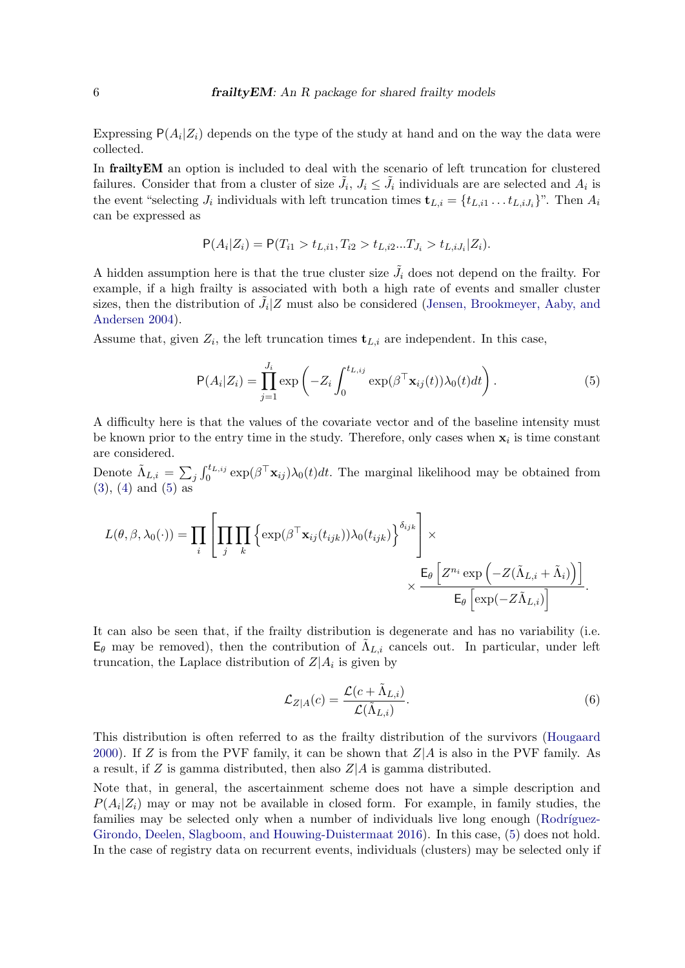Expressing  $P(A_i|Z_i)$  depends on the type of the study at hand and on the way the data were collected.

In frailtyEM an option is included to deal with the scenario of left truncation for clustered failures. Consider that from a cluster of size  $\tilde{J}_i$ ,  $J_i \leq \tilde{J}_i$  individuals are are selected and  $A_i$  is the event "selecting  $J_i$  individuals with left truncation times  $\mathbf{t}_{L,i} = \{t_{L,i1} \dots t_{L,iJ_i}\}$ ". Then  $A_i$ can be expressed as

$$
\mathsf{P}(A_i|Z_i) = \mathsf{P}(T_{i1} > t_{L,i1}, T_{i2} > t_{L,i2}...T_{J_i} > t_{L,iJ_i}|Z_i).
$$

A hidden assumption here is that the true cluster size  $\tilde{J}_i$  does not depend on the frailty. For example, if a high frailty is associated with both a high rate of events and smaller cluster sizes, then the distribution of  $\tilde{J}_i$  Z must also be considered [\(Jensen, Brookmeyer, Aaby, and](#page-26-6) [Andersen](#page-26-6) [2004\)](#page-26-6).

Assume that, given  $Z_i$ , the left truncation times  $\mathbf{t}_{L,i}$  are independent. In this case,

<span id="page-5-0"></span>
$$
P(A_i|Z_i) = \prod_{j=1}^{J_i} \exp\left(-Z_i \int_0^{t_{L,ij}} \exp(\beta^\top \mathbf{x}_{ij}(t)) \lambda_0(t) dt\right).
$$
 (5)

A difficulty here is that the values of the covariate vector and of the baseline intensity must be known prior to the entry time in the study. Therefore, only cases when  $x_i$  is time constant are considered.

Denote  $\tilde{\Lambda}_{L,i} = \sum_j \int_0^{t_{L,ij}} \exp(\beta^\top \mathbf{x}_{ij}) \lambda_0(t) dt$ . The marginal likelihood may be obtained from [\(3\)](#page-4-0), [\(4\)](#page-4-1) and [\(5\)](#page-5-0) as

$$
L(\theta, \beta, \lambda_0(\cdot)) = \prod_i \left[ \prod_j \prod_k \left\{ \exp(\beta^\top \mathbf{x}_{ij}(t_{ijk})) \lambda_0(t_{ijk}) \right\}^{\delta_{ijk}} \right] \times \frac{\mathsf{E}_{\theta} \left[ Z^{n_i} \exp \left( -Z(\tilde{\Lambda}_{L,i} + \tilde{\Lambda}_i) \right) \right]}{\mathsf{E}_{\theta} \left[ \exp(-Z\tilde{\Lambda}_{L,i}) \right]}.
$$

It can also be seen that, if the frailty distribution is degenerate and has no variability (i.e.  $\mathsf{E}_{\theta}$  may be removed), then the contribution of  $\tilde{\Lambda}_{L,i}$  cancels out. In particular, under left truncation, the Laplace distribution of  $Z|A_i$  is given by

<span id="page-5-1"></span>
$$
\mathcal{L}_{Z|A}(c) = \frac{\mathcal{L}(c + \tilde{\Lambda}_{L,i})}{\mathcal{L}(\tilde{\Lambda}_{L,i})}.
$$
\n(6)

This distribution is often referred to as the frailty distribution of the survivors [\(Hougaard](#page-26-2) [2000\)](#page-26-2). If Z is from the PVF family, it can be shown that  $Z|A$  is also in the PVF family. As a result, if Z is gamma distributed, then also  $Z/A$  is gamma distributed.

Note that, in general, the ascertainment scheme does not have a simple description and  $P(A_i|Z_i)$  may or may not be available in closed form. For example, in family studies, the families may be selected only when a number of individuals live long enough (Rodríguez-[Girondo, Deelen, Slagboom, and Houwing-Duistermaat](#page-26-7) [2016\)](#page-26-7). In this case, [\(5\)](#page-5-0) does not hold. In the case of registry data on recurrent events, individuals (clusters) may be selected only if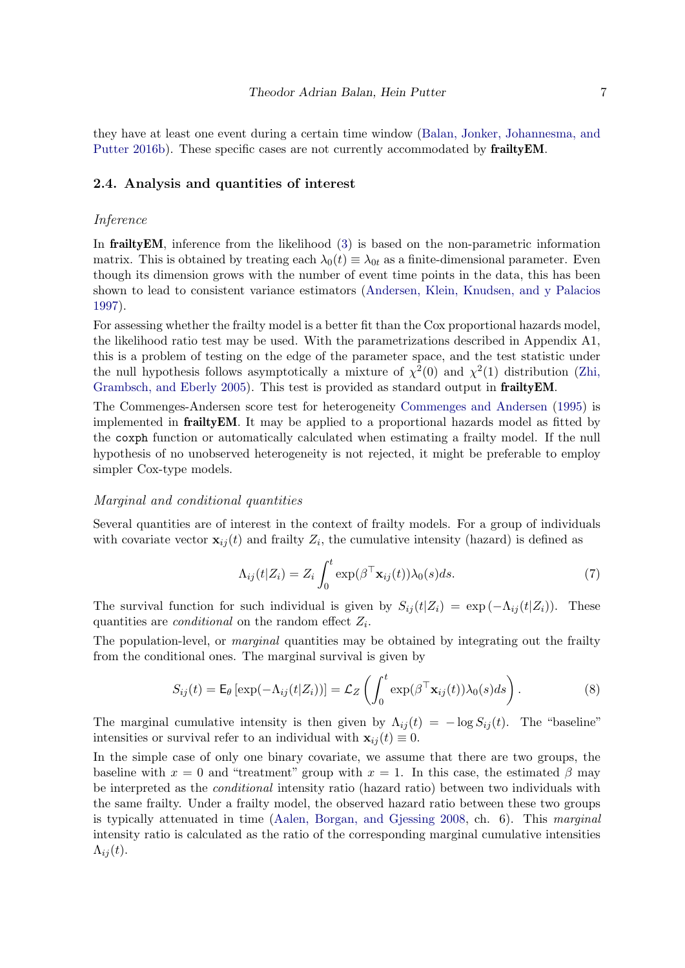they have at least one event during a certain time window [\(Balan, Jonker, Johannesma, and](#page-25-7) [Putter](#page-25-7) [2016b\)](#page-25-7). These specific cases are not currently accommodated by **frailty EM**.

#### <span id="page-6-0"></span>2.4. Analysis and quantities of interest

#### Inference

In frailtyEM, inference from the likelihood [\(3\)](#page-4-0) is based on the non-parametric information matrix. This is obtained by treating each  $\lambda_0(t) \equiv \lambda_{0t}$  as a finite-dimensional parameter. Even though its dimension grows with the number of event time points in the data, this has been shown to lead to consistent variance estimators [\(Andersen, Klein, Knudsen, and y Palacios](#page-25-8) [1997\)](#page-25-8).

For assessing whether the frailty model is a better fit than the Cox proportional hazards model, the likelihood ratio test may be used. With the parametrizations described in Appendix A1, this is a problem of testing on the edge of the parameter space, and the test statistic under the null hypothesis follows asymptotically a mixture of  $\chi^2(0)$  and  $\chi^2(1)$  distribution [\(Zhi,](#page-27-10) [Grambsch, and Eberly](#page-27-10) [2005\)](#page-27-10). This test is provided as standard output in **frailty EM**.

The Commenges-Andersen score test for heterogeneity [Commenges and Andersen](#page-25-9) [\(1995\)](#page-25-9) is implemented in frailtyEM. It may be applied to a proportional hazards model as fitted by the coxph function or automatically calculated when estimating a frailty model. If the null hypothesis of no unobserved heterogeneity is not rejected, it might be preferable to employ simpler Cox-type models.

#### Marginal and conditional quantities

Several quantities are of interest in the context of frailty models. For a group of individuals with covariate vector  $\mathbf{x}_{ij}(t)$  and frailty  $Z_i$ , the cumulative intensity (hazard) is defined as

<span id="page-6-2"></span><span id="page-6-1"></span>
$$
\Lambda_{ij}(t|Z_i) = Z_i \int_0^t \exp(\beta^\top \mathbf{x}_{ij}(t)) \lambda_0(s) ds.
$$
 (7)

The survival function for such individual is given by  $S_{ij}(t|Z_i) = \exp(-\Lambda_{ij}(t|Z_i))$ . These quantities are *conditional* on the random effect  $Z_i$ .

The population-level, or *marginal* quantities may be obtained by integrating out the frailty from the conditional ones. The marginal survival is given by

$$
S_{ij}(t) = \mathsf{E}_{\theta} \left[ \exp(-\Lambda_{ij}(t|Z_i)) \right] = \mathcal{L}_Z \left( \int_0^t \exp(\beta^\top \mathbf{x}_{ij}(t)) \lambda_0(s) ds \right). \tag{8}
$$

The marginal cumulative intensity is then given by  $\Lambda_{ij}(t) = -\log S_{ij}(t)$ . The "baseline" intensities or survival refer to an individual with  $\mathbf{x}_{ii}(t) \equiv 0$ .

In the simple case of only one binary covariate, we assume that there are two groups, the baseline with  $x = 0$  and "treatment" group with  $x = 1$ . In this case, the estimated  $\beta$  may be interpreted as the *conditional* intensity ratio (hazard ratio) between two individuals with the same frailty. Under a frailty model, the observed hazard ratio between these two groups is typically attenuated in time [\(Aalen, Borgan, and Gjessing](#page-24-0) [2008,](#page-24-0) ch. 6). This marginal intensity ratio is calculated as the ratio of the corresponding marginal cumulative intensities  $\Lambda_{ii}(t)$ .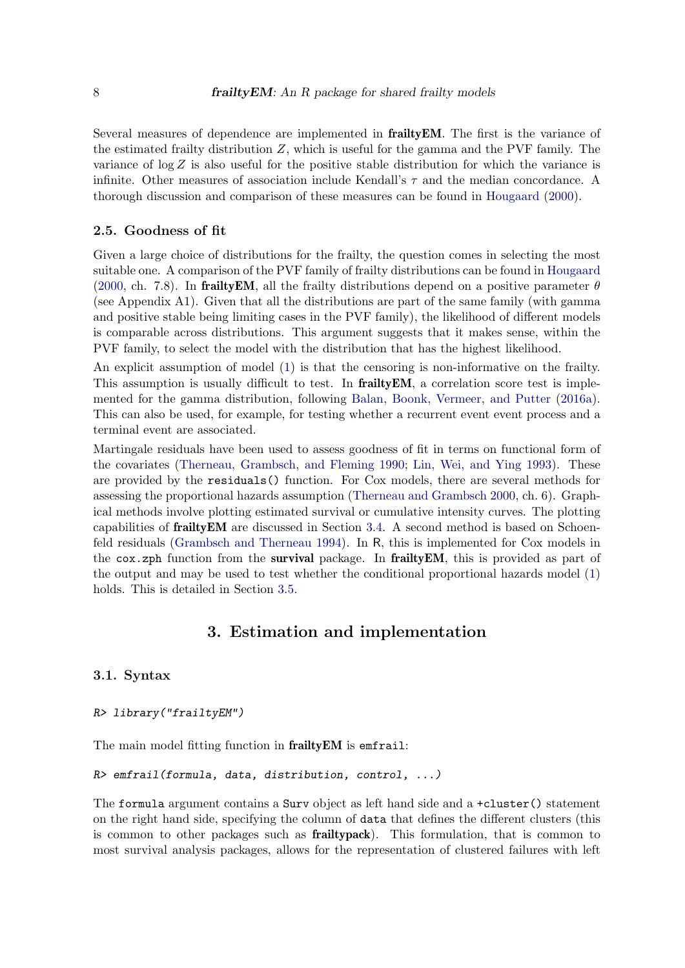Several measures of dependence are implemented in frailtyEM. The first is the variance of the estimated frailty distribution  $Z$ , which is useful for the gamma and the PVF family. The variance of  $\log Z$  is also useful for the positive stable distribution for which the variance is infinite. Other measures of association include Kendall's  $\tau$  and the median concordance. A thorough discussion and comparison of these measures can be found in [Hougaard](#page-26-2) [\(2000\)](#page-26-2).

#### <span id="page-7-1"></span>2.5. Goodness of fit

Given a large choice of distributions for the frailty, the question comes in selecting the most suitable one. A comparison of the PVF family of frailty distributions can be found in [Hougaard](#page-26-2) [\(2000,](#page-26-2) ch. 7.8). In frailty EM, all the frailty distributions depend on a positive parameter  $\theta$ (see Appendix A1). Given that all the distributions are part of the same family (with gamma and positive stable being limiting cases in the PVF family), the likelihood of different models is comparable across distributions. This argument suggests that it makes sense, within the PVF family, to select the model with the distribution that has the highest likelihood.

An explicit assumption of model [\(1\)](#page-2-1) is that the censoring is non-informative on the frailty. This assumption is usually difficult to test. In **frailty EM**, a correlation score test is implemented for the gamma distribution, following [Balan, Boonk, Vermeer, and Putter](#page-25-10) [\(2016a\)](#page-25-10). This can also be used, for example, for testing whether a recurrent event event process and a terminal event are associated.

Martingale residuals have been used to assess goodness of fit in terms on functional form of the covariates [\(Therneau, Grambsch, and Fleming](#page-27-11) [1990;](#page-27-11) [Lin, Wei, and Ying](#page-26-8) [1993\)](#page-26-8). These are provided by the residuals() function. For Cox models, there are several methods for assessing the proportional hazards assumption [\(Therneau and Grambsch](#page-27-4) [2000,](#page-27-4) ch. 6). Graphical methods involve plotting estimated survival or cumulative intensity curves. The plotting capabilities of frailtyEM are discussed in Section [3.4.](#page-9-0) A second method is based on Schoenfeld residuals [\(Grambsch and Therneau](#page-26-9) [1994\)](#page-26-9). In R, this is implemented for Cox models in the cox.zph function from the survival package. In frailty EM, this is provided as part of the output and may be used to test whether the conditional proportional hazards model [\(1\)](#page-2-1) holds. This is detailed in Section [3.5.](#page-10-0)

## 3. Estimation and implementation

#### <span id="page-7-0"></span>3.1. Syntax

#### R> library("frailtyEM")

The main model fitting function in frailty EM is emfrail:

```
R> emfrail(formula, data, distribution, control, ...)
```
The formula argument contains a Surv object as left hand side and a +cluster() statement on the right hand side, specifying the column of data that defines the different clusters (this is common to other packages such as frailtypack). This formulation, that is common to most survival analysis packages, allows for the representation of clustered failures with left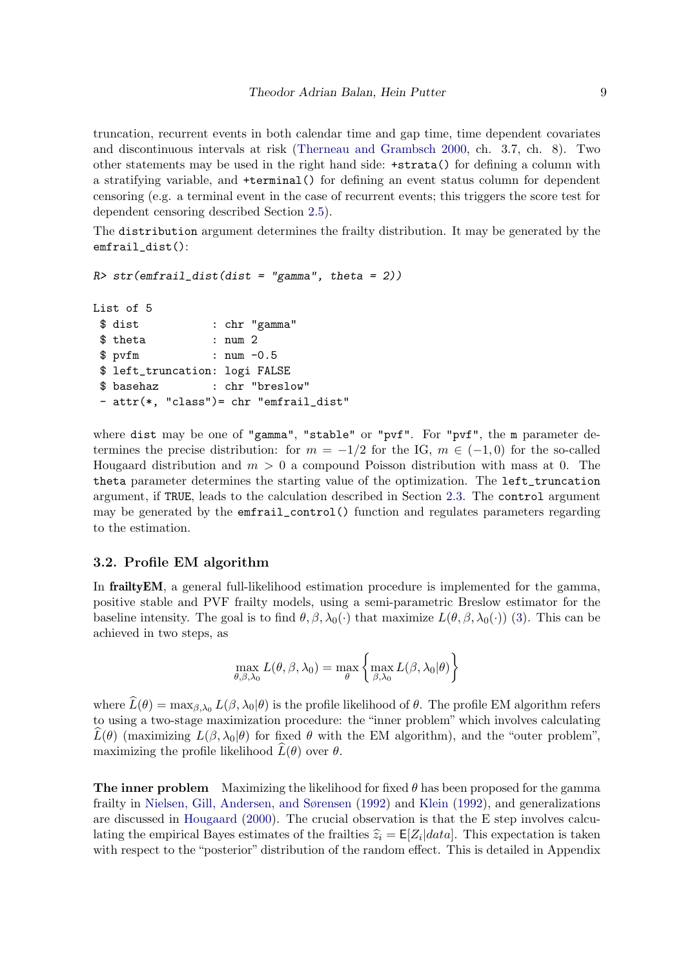truncation, recurrent events in both calendar time and gap time, time dependent covariates and discontinuous intervals at risk [\(Therneau and Grambsch](#page-27-4) [2000,](#page-27-4) ch. 3.7, ch. 8). Two other statements may be used in the right hand side: +strata() for defining a column with a stratifying variable, and +terminal() for defining an event status column for dependent censoring (e.g. a terminal event in the case of recurrent events; this triggers the score test for dependent censoring described Section [2.5\)](#page-7-1).

The distribution argument determines the frailty distribution. It may be generated by the emfrail\_dist():

```
R> str(emfrail_dist(dist = "gamma", theta = 2))
```

```
List of 5
$ dist : chr "gamma"
$ theta : num 2
$ pvfm : num -0.5
$ left_truncation: logi FALSE
$ basehaz : chr "breslow"
- attr(*, "class")= chr "emfrail_dist"
```
where dist may be one of "gamma", "stable" or "pvf". For "pvf", the m parameter determines the precise distribution: for  $m = -1/2$  for the IG,  $m \in (-1,0)$  for the so-called Hougaard distribution and  $m > 0$  a compound Poisson distribution with mass at 0. The theta parameter determines the starting value of the optimization. The left\_truncation argument, if TRUE, leads to the calculation described in Section [2.3.](#page-4-2) The control argument may be generated by the emfrail\_control() function and regulates parameters regarding to the estimation.

#### <span id="page-8-0"></span>3.2. Profile EM algorithm

In **frailty EM**, a general full-likelihood estimation procedure is implemented for the gamma, positive stable and PVF frailty models, using a semi-parametric Breslow estimator for the baseline intensity. The goal is to find  $\theta$ ,  $\beta$ ,  $\lambda_0(\cdot)$  that maximize  $L(\theta, \beta, \lambda_0(\cdot))$  [\(3\)](#page-4-0). This can be achieved in two steps, as

$$
\max_{\theta,\beta,\lambda_0} L(\theta,\beta,\lambda_0) = \max_{\theta} \left\{ \max_{\beta,\lambda_0} L(\beta,\lambda_0|\theta) \right\}
$$

where  $\widehat{L}(\theta) = \max_{\beta,\lambda_0} L(\beta,\lambda_0|\theta)$  is the profile likelihood of  $\theta$ . The profile EM algorithm refers to using a two-stage maximization procedure: the "inner problem" which involves calculating  $\hat{L}(\theta)$  (maximizing  $L(\beta, \lambda_0|\theta)$  for fixed  $\theta$  with the EM algorithm), and the "outer problem", maximizing the profile likelihood  $\hat{L}(\theta)$  over  $\theta$ .

**The inner problem** Maximizing the likelihood for fixed  $\theta$  has been proposed for the gamma frailty in [Nielsen, Gill, Andersen, and Sørensen](#page-26-10) [\(1992\)](#page-26-10) and [Klein](#page-26-11) [\(1992\)](#page-26-11), and generalizations are discussed in [Hougaard](#page-26-2) [\(2000\)](#page-26-2). The crucial observation is that the E step involves calculating the empirical Bayes estimates of the frailties  $\hat{z}_i = \mathsf{E}[Z_i|data]$ . This expectation is taken<br>with respect to the "pecterior" distribution of the random effect. This is detailed in Appendix with respect to the "posterior" distribution of the random effect. This is detailed in Appendix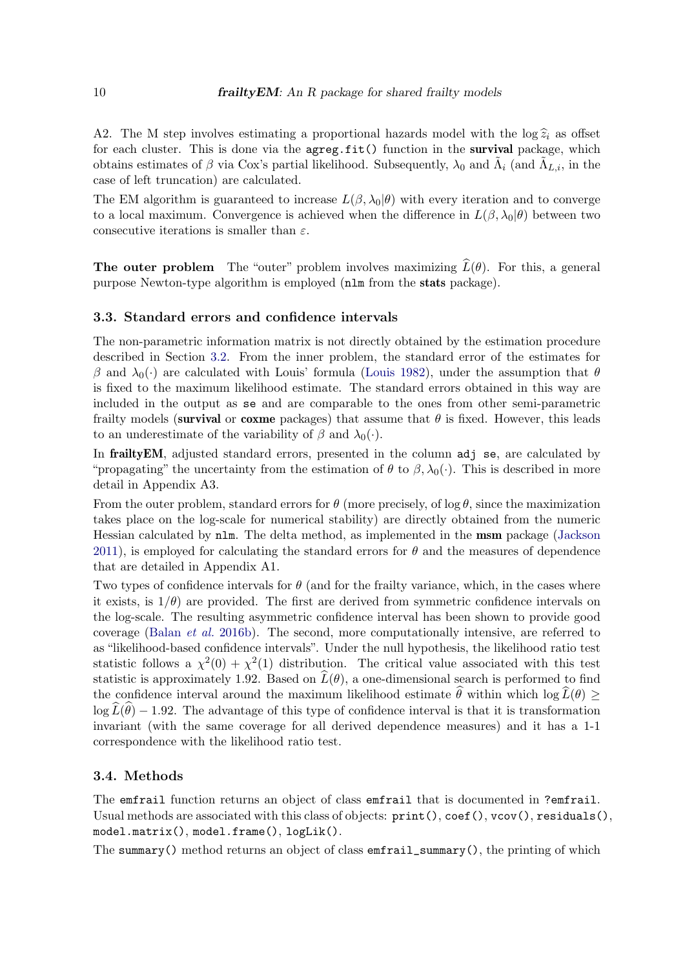A2. The M step involves estimating a proportional hazards model with the log  $\hat{z}_i$  as offset for each cluster. This is done via the agreg.fit() function in the survival package, which obtains estimates of  $\beta$  via Cox's partial likelihood. Subsequently,  $\lambda_0$  and  $\tilde{\Lambda}_i$  (and  $\tilde{\Lambda}_{L,i}$ , in the case of left truncation) are calculated.

The EM algorithm is guaranteed to increase  $L(\beta, \lambda_0|\theta)$  with every iteration and to converge to a local maximum. Convergence is achieved when the difference in  $L(\beta, \lambda_0|\theta)$  between two consecutive iterations is smaller than  $\varepsilon$ .

**The outer problem** The "outer" problem involves maximizing  $\widehat{L}(\theta)$ . For this, a general purpose Newton-type algorithm is employed (nlm from the stats package).

#### <span id="page-9-1"></span>3.3. Standard errors and confidence intervals

The non-parametric information matrix is not directly obtained by the estimation procedure described in Section [3.2.](#page-8-0) From the inner problem, the standard error of the estimates for β and  $\lambda_0(\cdot)$  are calculated with Louis' formula [\(Louis](#page-26-12) [1982\)](#page-26-12), under the assumption that θ is fixed to the maximum likelihood estimate. The standard errors obtained in this way are included in the output as se and are comparable to the ones from other semi-parametric frailty models (survival or coxme packages) that assume that  $\theta$  is fixed. However, this leads to an underestimate of the variability of  $\beta$  and  $\lambda_0(\cdot)$ .

In frailty EM, adjusted standard errors, presented in the column adj se, are calculated by "propagating" the uncertainty from the estimation of  $\theta$  to  $\beta$ ,  $\lambda_0(\cdot)$ . This is described in more detail in Appendix A3.

From the outer problem, standard errors for  $\theta$  (more precisely, of log  $\theta$ , since the maximization takes place on the log-scale for numerical stability) are directly obtained from the numeric Hessian calculated by nlm. The delta method, as implemented in the msm package [\(Jackson](#page-26-13) [2011\)](#page-26-13), is employed for calculating the standard errors for  $\theta$  and the measures of dependence that are detailed in Appendix A1.

Two types of confidence intervals for  $\theta$  (and for the frailty variance, which, in the cases where it exists, is  $1/\theta$  are provided. The first are derived from symmetric confidence intervals on the log-scale. The resulting asymmetric confidence interval has been shown to provide good coverage [\(Balan](#page-25-7) et al. [2016b\)](#page-25-7). The second, more computationally intensive, are referred to as "likelihood-based confidence intervals". Under the null hypothesis, the likelihood ratio test statistic follows a  $\chi^2(0) + \chi^2(1)$  distribution. The critical value associated with this test statistic is approximately 1.92. Based on  $\tilde{L}(\theta)$ , a one-dimensional search is performed to find the confidence interval around the maximum likelihood estimate  $\hat{\theta}$  within which log  $\hat{L}(\theta) \geq$  $\log L(\theta) - 1.92$ . The advantage of this type of confidence interval is that it is transformation invariant (with the same coverage for all derived dependence measures) and it has a 1-1 correspondence with the likelihood ratio test.

#### <span id="page-9-0"></span>3.4. Methods

The emfrail function returns an object of class emfrail that is documented in ?emfrail. Usual methods are associated with this class of objects:  $print(),$  coef(), vcov(), residuals(), model.matrix(), model.frame(), logLik().

The summary() method returns an object of class  $emfrail\_summary()$ , the printing of which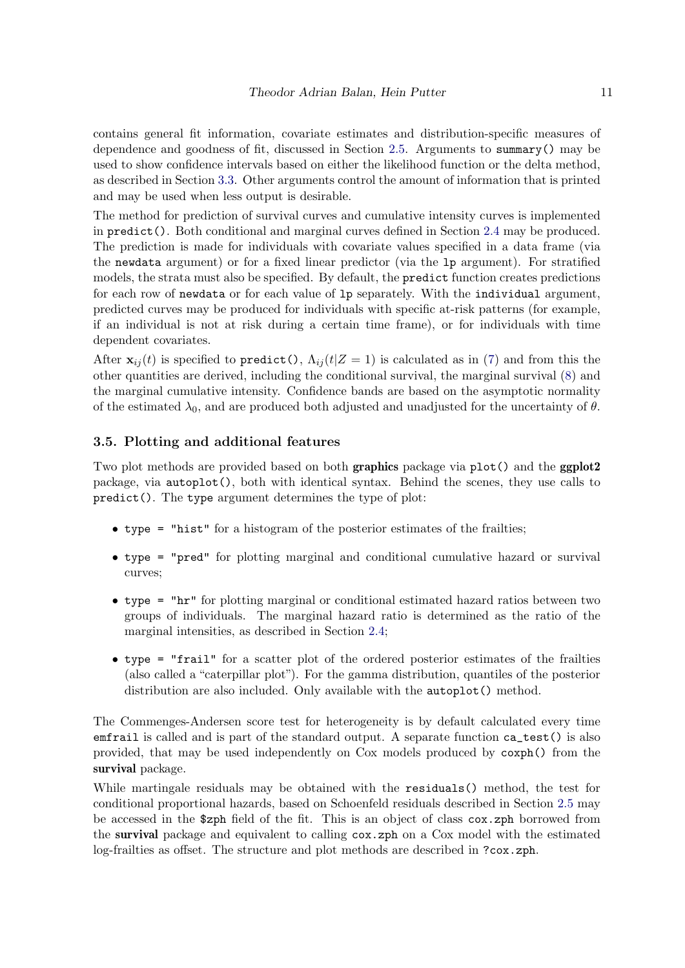contains general fit information, covariate estimates and distribution-specific measures of dependence and goodness of fit, discussed in Section [2.5.](#page-7-1) Arguments to summary() may be used to show confidence intervals based on either the likelihood function or the delta method, as described in Section [3.3.](#page-9-1) Other arguments control the amount of information that is printed and may be used when less output is desirable.

The method for prediction of survival curves and cumulative intensity curves is implemented in predict(). Both conditional and marginal curves defined in Section [2.4](#page-6-0) may be produced. The prediction is made for individuals with covariate values specified in a data frame (via the newdata argument) or for a fixed linear predictor (via the lp argument). For stratified models, the strata must also be specified. By default, the predict function creates predictions for each row of newdata or for each value of lp separately. With the individual argument, predicted curves may be produced for individuals with specific at-risk patterns (for example, if an individual is not at risk during a certain time frame), or for individuals with time dependent covariates.

After  $\mathbf{x}_{ii}(t)$  is specified to predict(),  $\Lambda_{ii}(t|Z=1)$  is calculated as in [\(7\)](#page-6-1) and from this the other quantities are derived, including the conditional survival, the marginal survival [\(8\)](#page-6-2) and the marginal cumulative intensity. Confidence bands are based on the asymptotic normality of the estimated  $\lambda_0$ , and are produced both adjusted and unadjusted for the uncertainty of  $\theta$ .

#### <span id="page-10-0"></span>3.5. Plotting and additional features

Two plot methods are provided based on both **graphics** package via plot() and the **ggplot2** package, via autoplot(), both with identical syntax. Behind the scenes, they use calls to predict(). The type argument determines the type of plot:

- type = "hist" for a histogram of the posterior estimates of the frailties;
- type = "pred" for plotting marginal and conditional cumulative hazard or survival curves;
- type = "hr" for plotting marginal or conditional estimated hazard ratios between two groups of individuals. The marginal hazard ratio is determined as the ratio of the marginal intensities, as described in Section [2.4;](#page-6-0)
- type = "frail" for a scatter plot of the ordered posterior estimates of the frailties (also called a "caterpillar plot"). For the gamma distribution, quantiles of the posterior distribution are also included. Only available with the autoplot() method.

The Commenges-Andersen score test for heterogeneity is by default calculated every time emfrail is called and is part of the standard output. A separate function ca\_test() is also provided, that may be used independently on Cox models produced by coxph() from the survival package.

While martingale residuals may be obtained with the residuals() method, the test for conditional proportional hazards, based on Schoenfeld residuals described in Section [2.5](#page-7-1) may be accessed in the \$zph field of the fit. This is an object of class cox.zph borrowed from the survival package and equivalent to calling cox.zph on a Cox model with the estimated log-frailties as offset. The structure and plot methods are described in ?cox.zph.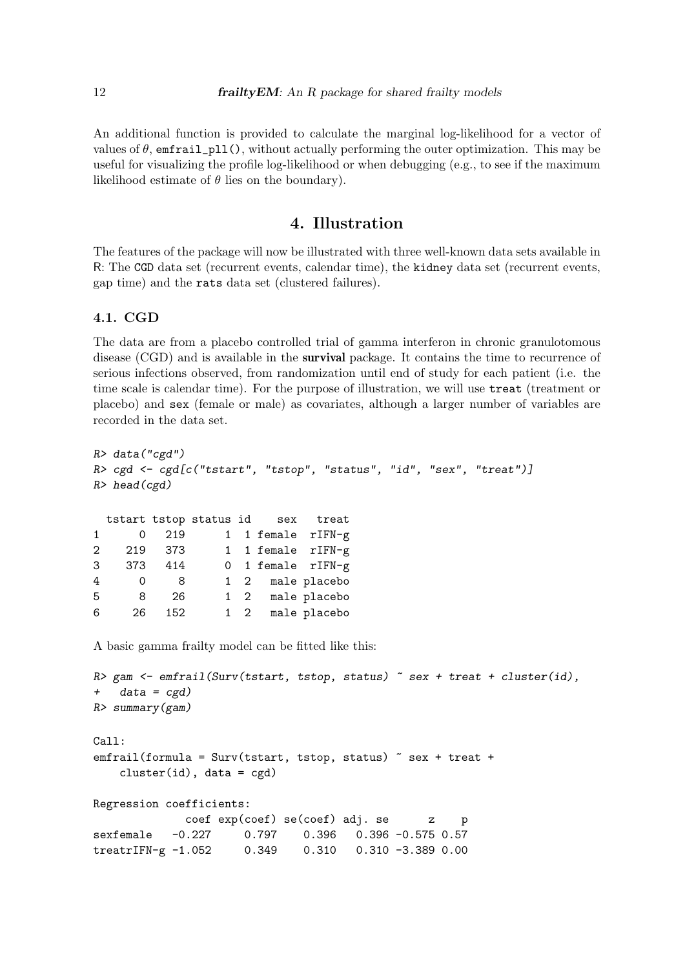An additional function is provided to calculate the marginal log-likelihood for a vector of values of  $\theta$ , emfrail\_pll(), without actually performing the outer optimization. This may be useful for visualizing the profile log-likelihood or when debugging (e.g., to see if the maximum likelihood estimate of  $\theta$  lies on the boundary).

## 4. Illustration

<span id="page-11-0"></span>The features of the package will now be illustrated with three well-known data sets available in R: The CGD data set (recurrent events, calendar time), the kidney data set (recurrent events, gap time) and the rats data set (clustered failures).

#### <span id="page-11-1"></span>4.1. CGD

The data are from a placebo controlled trial of gamma interferon in chronic granulotomous disease (CGD) and is available in the survival package. It contains the time to recurrence of serious infections observed, from randomization until end of study for each patient (i.e. the time scale is calendar time). For the purpose of illustration, we will use treat (treatment or placebo) and sex (female or male) as covariates, although a larger number of variables are recorded in the data set.

```
R> data("cgd")
R> cgd <- cgd[c("tstart", "tstop", "status", "id", "sex", "treat")]
R> head(cgd)
 tstart tstop status id sex treat
1 0 219 1 1 female rIFN-g
2 219 373 1 1 female rIFN-g
3 373 414 0 1 female rIFN-g
4 0 8 1 2 male placebo
5 8 26 1 2 male placebo
6 26 152 1 2 male placebo
A basic gamma frailty model can be fitted like this:
R> gam \leq emfrail(Surv(tstart, tstop, status) \sim sex + treat + cluster(id),
+ data = cgd)R> summary(gam)
Call:
emfrail(formula = Survey (tstart, tstop, status) \tilde{ } sex + treat +
   cluster(id), data = cgd)
Regression coefficients:
            coef exp(coef) se(coef) adj. se z p
sexfemale -0.227 0.797 0.396 0.396 -0.575 0.57
treatrIFN-g -1.052 0.349 0.310 0.310 -3.389 0.00
```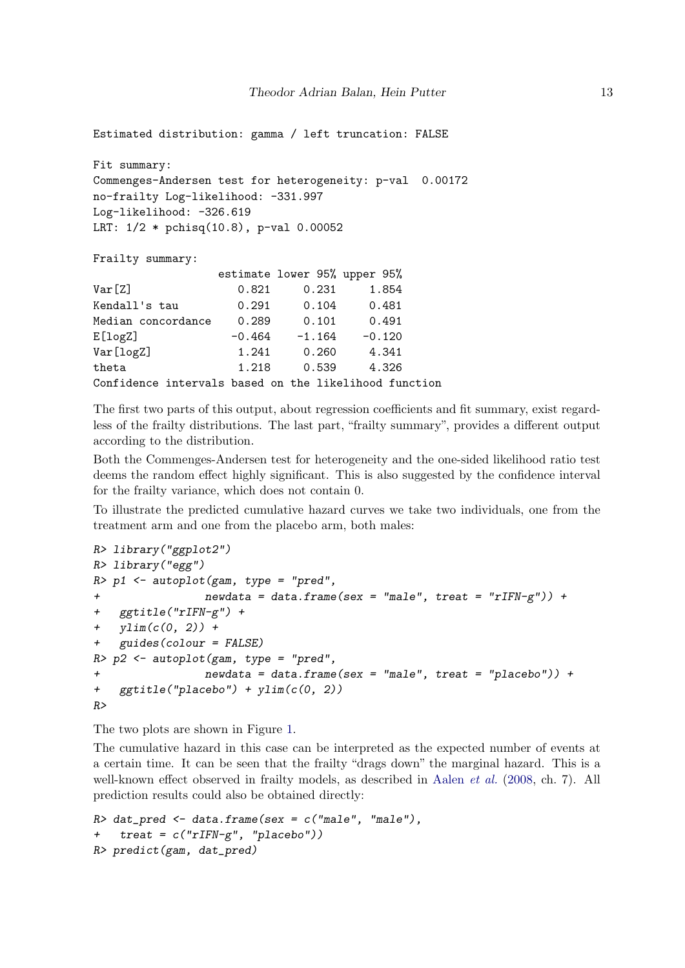Estimated distribution: gamma / left truncation: FALSE

```
Fit summary:
Commenges-Andersen test for heterogeneity: p-val 0.00172
no-frailty Log-likelihood: -331.997
Log-likelihood: -326.619
LRT: 1/2 * pchisq(10.8), p-val 0.00052
```
Frailty summary:

|                                                       |          | estimate lower 95% upper 95% |          |  |
|-------------------------------------------------------|----------|------------------------------|----------|--|
| Var[Z]                                                | 0.821    | 0.231                        | 1.854    |  |
| Kendall's tau                                         | 0.291    | 0.104                        | 0.481    |  |
| Median concordance                                    | 0.289    | 0.101                        | 0.491    |  |
| E[log Z]                                              | $-0.464$ | $-1.164$                     | $-0.120$ |  |
| Var[logZ]                                             | 1.241    | 0.260                        | 4.341    |  |
| theta                                                 | 1.218    | 0.539                        | 4.326    |  |
| Confidence intervals based on the likelihood function |          |                              |          |  |

The first two parts of this output, about regression coefficients and fit summary, exist regardless of the frailty distributions. The last part, "frailty summary", provides a different output according to the distribution.

Both the Commenges-Andersen test for heterogeneity and the one-sided likelihood ratio test deems the random effect highly significant. This is also suggested by the confidence interval for the frailty variance, which does not contain 0.

To illustrate the predicted cumulative hazard curves we take two individuals, one from the treatment arm and one from the placebo arm, both males:

```
R> library("ggplot2")
R> library("egg")
R> p1 <- autoplot(gam, type = "pred",
+ newdata = data.frame(sex = "male", treat = "rIFN-g")) +
+ ggtitle("rIFN-g") +
+ ylim(c(0, 2)) ++ guides(colour = FALSE)
R> p2 <- autoplot(gam, type = "pred",
+ newdata = data.frame(sex = "male", treat = "placebo")) +
+ ggtitle("placebo") + ylim(c(0, 2))
R>
```
The two plots are shown in Figure [1.](#page-13-0)

The cumulative hazard in this case can be interpreted as the expected number of events at a certain time. It can be seen that the frailty "drags down" the marginal hazard. This is a well-known effect observed in frailty models, as described in [Aalen](#page-24-0) *et al.* [\(2008,](#page-24-0) ch. 7). All prediction results could also be obtained directly:

```
R> dat_pred <- data.frame(sex = c("male", "male"),+ treat = c("rIFN-g", "placebo"))
R> predict(gam, dat_pred)
```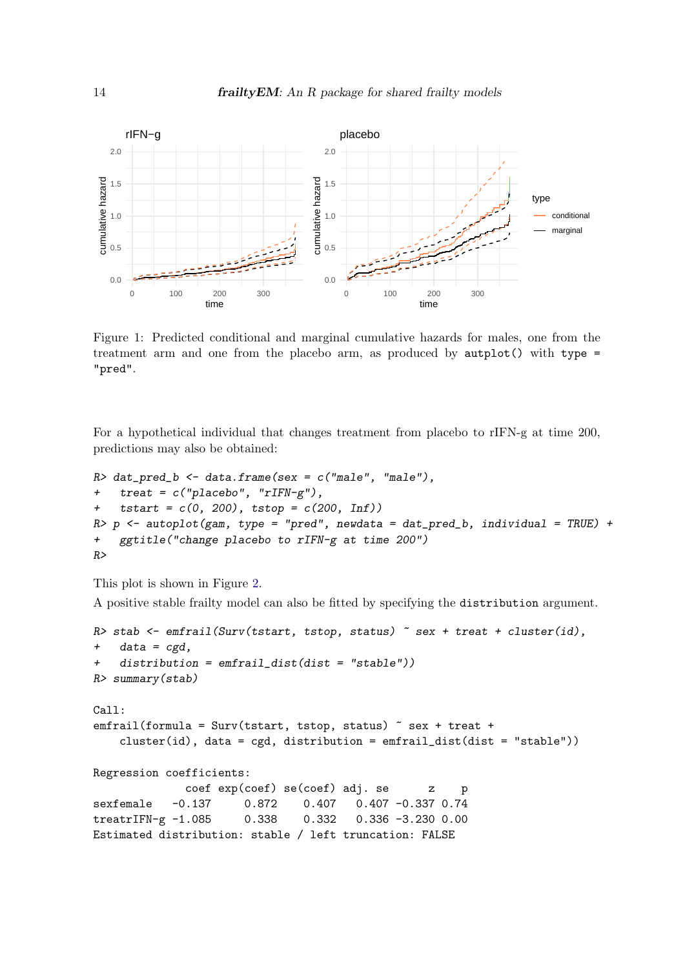

<span id="page-13-0"></span>Figure 1: Predicted conditional and marginal cumulative hazards for males, one from the treatment arm and one from the placebo arm, as produced by  $\text{author}()$  with type = "pred".

For a hypothetical individual that changes treatment from placebo to rIFN-g at time 200, predictions may also be obtained:

```
R> dat_pred_b <- data.frame(sex = c("male", "male"),+ treat = c("placebo", "rIFN-g"),
+ tstart = c(0, 200), tstop = c(200, Inf)R> p <- autoplot(gam, type = "pred", newdata = dat_pred_b, individual = TRUE) +
+ ggtitle("change placebo to rIFN-g at time 200")
R
```
This plot is shown in Figure [2.](#page-14-0)

A positive stable frailty model can also be fitted by specifying the distribution argument.

```
R> stab <- emfrail(Surv(tstart, tstop, status) \tilde{ } sex + treat + cluster(id),
+ data = cgd,
+ distribution = emfrail_dist(dist = "stable"))
R> summary(stab)
Call:
emfrail(formula = Survey(tstart, tstop, status) \tilde{ } sex + treat +
    cluster(id), data = cgd, distribution = emfrail_dist(dist = "stable"))
Regression coefficients:
              coef exp(coef) se(coef) adj. se z p
sexfemale -0.137 0.872 0.407 0.407 -0.337 0.74
treatrIFN-g -1.085 0.338 0.332 0.336 -3.230 0.00
Estimated distribution: stable / left truncation: FALSE
```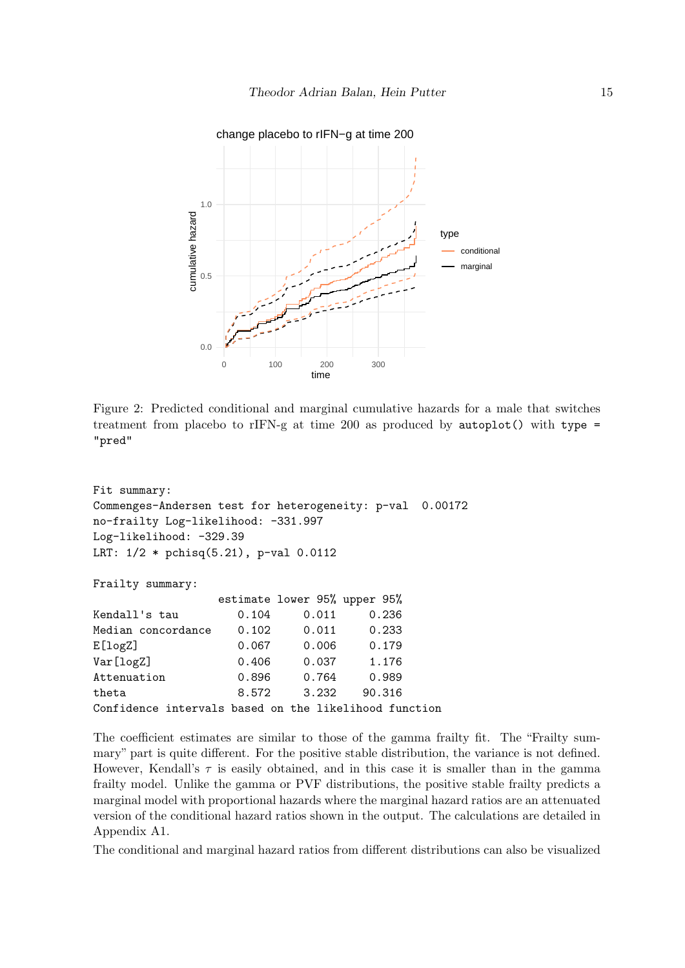

<span id="page-14-0"></span>Figure 2: Predicted conditional and marginal cumulative hazards for a male that switches treatment from placebo to rIFN-g at time 200 as produced by  $\text{autoplot}()$  with type = "pred"

```
Fit summary:
Commenges-Andersen test for heterogeneity: p-val 0.00172
no-frailty Log-likelihood: -331.997
Log-likelihood: -329.39
LRT: 1/2 * pchisq(5.21), p-val 0.0112
Frailty summary:
               estimate lower 95% upper 95%
Kendall's tau 0.104 0.011 0.236
Median concordance  0.102  0.011  0.233
E[logZ] 0.067 0.006 0.179
Var[logZ] 0.406 0.037 1.176
Attenuation 0.896 0.764 0.989
theta 8.572 3.232 90.316
Confidence intervals based on the likelihood function
```
The coefficient estimates are similar to those of the gamma frailty fit. The "Frailty summary" part is quite different. For the positive stable distribution, the variance is not defined. However, Kendall's  $\tau$  is easily obtained, and in this case it is smaller than in the gamma frailty model. Unlike the gamma or PVF distributions, the positive stable frailty predicts a marginal model with proportional hazards where the marginal hazard ratios are an attenuated version of the conditional hazard ratios shown in the output. The calculations are detailed in Appendix A1.

The conditional and marginal hazard ratios from different distributions can also be visualized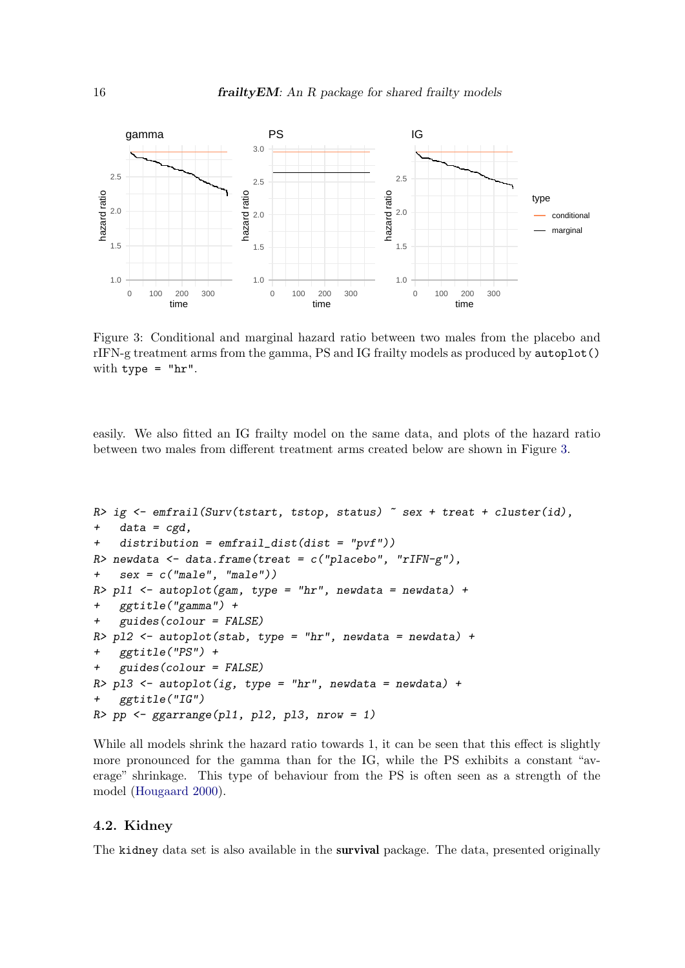

<span id="page-15-0"></span>Figure 3: Conditional and marginal hazard ratio between two males from the placebo and rIFN-g treatment arms from the gamma, PS and IG frailty models as produced by autoplot() with type  $=$  "hr".

easily. We also fitted an IG frailty model on the same data, and plots of the hazard ratio between two males from different treatment arms created below are shown in Figure [3.](#page-15-0)

```
R> ig <- emfrail(Surv(tstart, tstop, status) \tilde{ } sex + treat + cluster(id),
   data = cgd,+ distribution = emfrail_dist(dist = "pvf"))
R newdata \leq data.frame(treat = c('placebo'', 'rIFN-g''),+ sex = c("male", "male"))
R> pl1 <- autoplot(gam, type = "hr", newdata = newdata) +
   + ggtitle("gamma") +
+ guides(colour = FALSE)
R> pl2 <- autoplot(stab, type = "hr", newdata = newdata) +
+ ggtitle("PS") +
   guides(colour = FALSE)R> pl3 <- autoplot(ig, type = "hr", newdata = newdata) +
+ ggtitle("IG")
R> pp <- ggarrange(pl1, pl2, pl3, nrow = 1)
```
While all models shrink the hazard ratio towards 1, it can be seen that this effect is slightly more pronounced for the gamma than for the IG, while the PS exhibits a constant "average" shrinkage. This type of behaviour from the PS is often seen as a strength of the model [\(Hougaard](#page-26-2) [2000\)](#page-26-2).

#### 4.2. Kidney

The kidney data set is also available in the survival package. The data, presented originally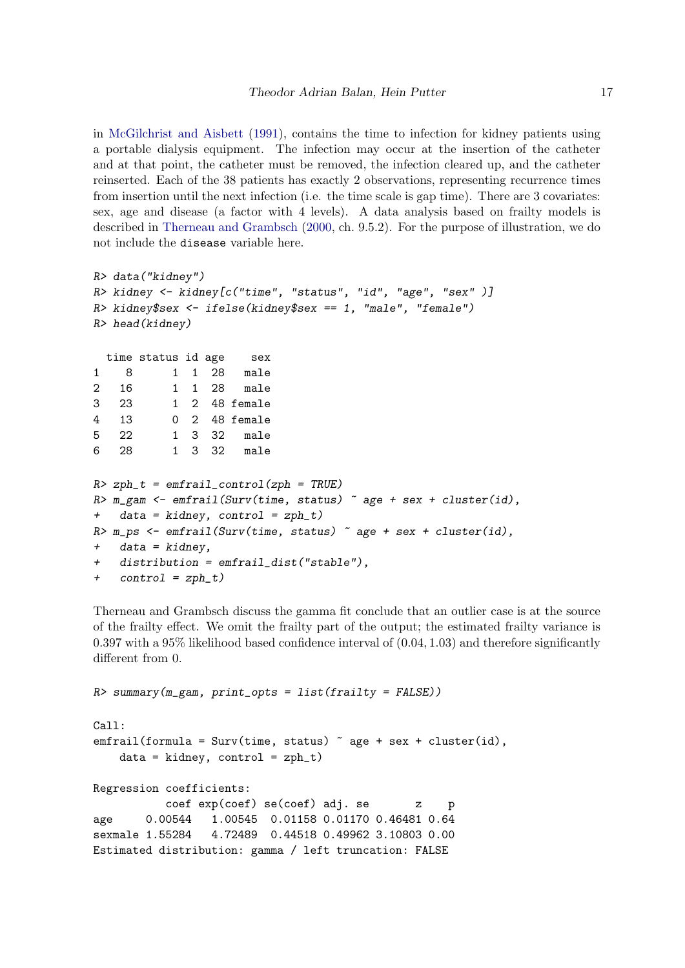in [McGilchrist and Aisbett](#page-26-14) [\(1991\)](#page-26-14), contains the time to infection for kidney patients using a portable dialysis equipment. The infection may occur at the insertion of the catheter and at that point, the catheter must be removed, the infection cleared up, and the catheter reinserted. Each of the 38 patients has exactly 2 observations, representing recurrence times from insertion until the next infection (i.e. the time scale is gap time). There are 3 covariates: sex, age and disease (a factor with 4 levels). A data analysis based on frailty models is described in [Therneau and Grambsch](#page-27-4) [\(2000,](#page-27-4) ch. 9.5.2). For the purpose of illustration, we do not include the disease variable here.

```
R> data("kidney")
R> kidney <- kidney[c("time", "status", "id", "age", "sex" )]
R> kidney$sex <- ifelse(kidney$sex == 1, "male", "female")
R> head(kidney)
 time status id age sex
1 8 1 1 28 male
2 16 1 1 28 male
3 23 1 2 48 female
4 13 0 2 48 female
5 22 1 3 32 male
6 28 1 3 32 male
R > zph_t = emfrail_control(zph = TRUE)R \geq m_{\text{ram}} \leq \sim emfrail(Surv(time, status) \sim age + sex + cluster(id),+ data = kidney, control = zph_t)
R> m_ps \leq emfrail(Surv(time, status) \sim age + sex + cluster(id),
+ data = kidney,
+ distribution = emfrail_dist("stable"),
+ control = zph_t)
```
Therneau and Grambsch discuss the gamma fit conclude that an outlier case is at the source of the frailty effect. We omit the frailty part of the output; the estimated frailty variance is  $0.397$  with a  $95\%$  likelihood based confidence interval of  $(0.04, 1.03)$  and therefore significantly different from 0.

```
R> summary(m_gam, print_opts = list(frailty = FALSE))
Call:
emfrail(formula = Surv(time, status) ~ age + sex + cluster(id),
   data = kidney, control = zph_t)Regression coefficients:
          coef exp(coef) se(coef) adj. se z p
age 0.00544 1.00545 0.01158 0.01170 0.46481 0.64
sexmale 1.55284 4.72489 0.44518 0.49962 3.10803 0.00
```
Estimated distribution: gamma / left truncation: FALSE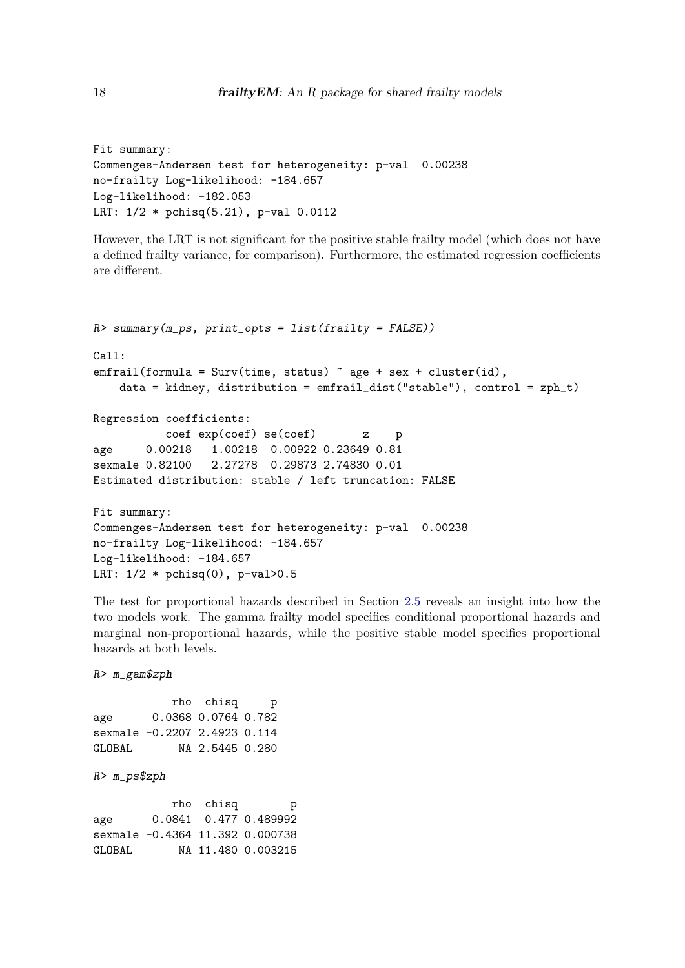```
Fit summary:
Commenges-Andersen test for heterogeneity: p-val 0.00238
no-frailty Log-likelihood: -184.657
Log-likelihood: -182.053
LRT: 1/2 * pchisq(5.21), p-val 0.0112
```
However, the LRT is not significant for the positive stable frailty model (which does not have a defined frailty variance, for comparison). Furthermore, the estimated regression coefficients are different.

```
R> summary(m_ps, print_opts = list(frailty = FALSE))
Call:
emfrail(formula = Survey(time, status) \tilde{ } age + sex + cluster(id),
    data = kidney, distribution = emfrail_dist("stable"), control = zph_t)
Regression coefficients:
           coef exp(coef) se(coef) z p
age 0.00218 1.00218 0.00922 0.23649 0.81
sexmale 0.82100 2.27278 0.29873 2.74830 0.01
Estimated distribution: stable / left truncation: FALSE
Fit summary:
Commenges-Andersen test for heterogeneity: p-val 0.00238
no-frailty Log-likelihood: -184.657
Log-likelihood: -184.657
LRT: 1/2 * \text{phisq}(0), p-value>0.5
```
The test for proportional hazards described in Section [2.5](#page-7-1) reveals an insight into how the two models work. The gamma frailty model specifies conditional proportional hazards and marginal non-proportional hazards, while the positive stable model specifies proportional hazards at both levels.

```
R> m_gam$zph
```

|        |                              | rho chisq           | р |
|--------|------------------------------|---------------------|---|
| age    |                              | 0.0368 0.0764 0.782 |   |
|        | sexmale -0.2207 2.4923 0.114 |                     |   |
| GLOBAL |                              | NA 2.5445 0.280     |   |

```
R> m_ps$zph
```
rho chisq p age 0.0841 0.477 0.489992 sexmale -0.4364 11.392 0.000738 GLOBAL NA 11.480 0.003215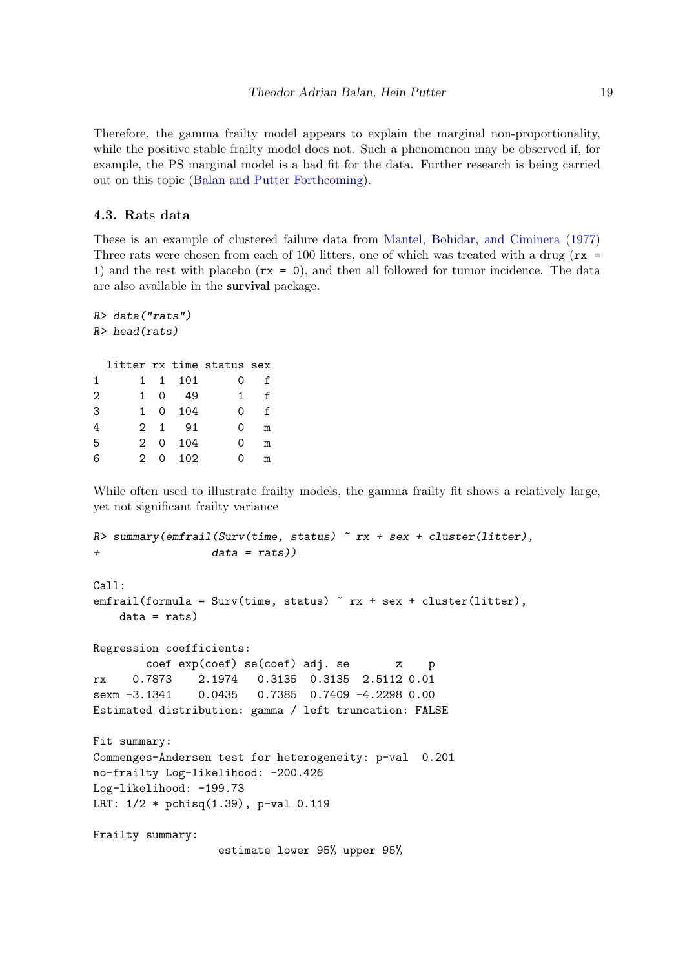Therefore, the gamma frailty model appears to explain the marginal non-proportionality, while the positive stable frailty model does not. Such a phenomenon may be observed if, for example, the PS marginal model is a bad fit for the data. Further research is being carried out on this topic [\(Balan and Putter](#page-25-11) [Forthcoming\)](#page-25-11).

#### 4.3. Rats data

These is an example of clustered failure data from [Mantel, Bohidar, and Ciminera](#page-26-15) [\(1977\)](#page-26-15) Three rats were chosen from each of 100 litters, one of which was treated with a drug ( $rx =$ 1) and the rest with placebo  $(rx = 0)$ , and then all followed for tumor incidence. The data are also available in the survival package.

```
R> data("rats")
R> head(rats)
 litter rx time status sex
1 1 1 101 0 f
2 1 0 49 1 f
3 1 0 104 0 f
4 2 1 91 0 m
5 2 0 104 0 m
6 2 0 102 0 m
```
While often used to illustrate frailty models, the gamma frailty fit shows a relatively large, yet not significant frailty variance

```
R> summary(emfrail(Surv(time, status) x + sex + cluster(litter),
+ data = rats))
Call:
emfrail(formula = Surv(time, status) x + sex + cluster(litter),data = rats)Regression coefficients:
       coef exp(coef) se(coef) adj. se z p
rx 0.7873 2.1974 0.3135 0.3135 2.5112 0.01
sexm -3.1341 0.0435 0.7385 0.7409 -4.2298 0.00
Estimated distribution: gamma / left truncation: FALSE
Fit summary:
Commenges-Andersen test for heterogeneity: p-val 0.201
no-frailty Log-likelihood: -200.426
Log-likelihood: -199.73
LRT: 1/2 * pchisq(1.39), p-val 0.119
Frailty summary:
                 estimate lower 95% upper 95%
```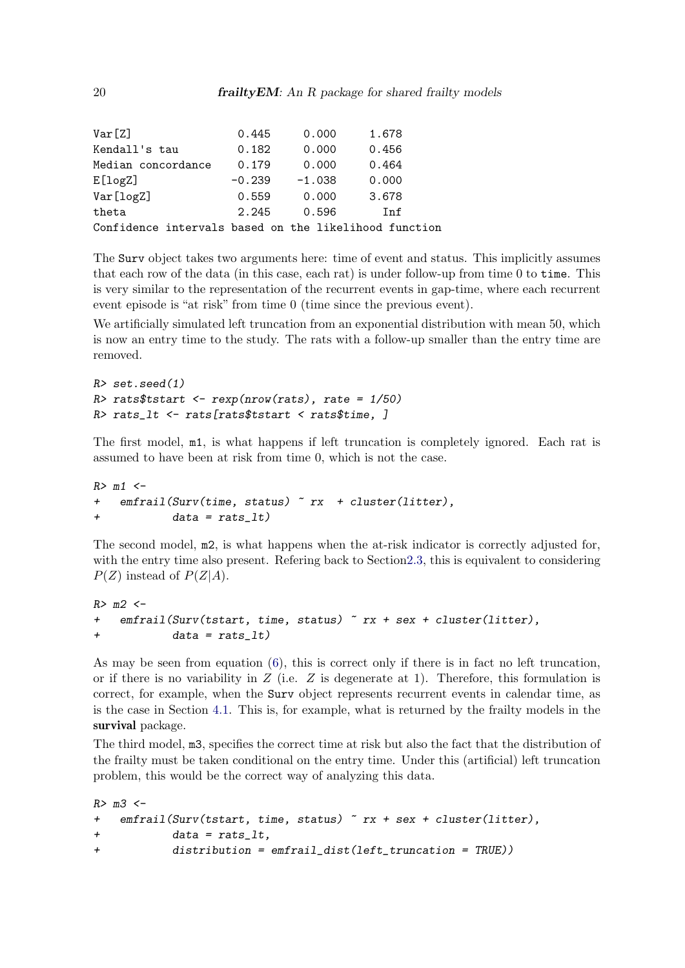| Var[Z]                                                | 0.445    | 0.000    | 1.678      |
|-------------------------------------------------------|----------|----------|------------|
| Kendall's tau                                         | 0.182    | 0.000    | 0.456      |
| Median concordance                                    | 0.179    | 0.000    | 0.464      |
| E[log Z]                                              | $-0.239$ | $-1.038$ | 0.000      |
| Var[logZ]                                             | 0.559    | 0.000    | 3.678      |
| theta                                                 | 2.245    | 0.596    | <b>Tnf</b> |
| Confidence intervals based on the likelihood function |          |          |            |

The Surv object takes two arguments here: time of event and status. This implicitly assumes that each row of the data (in this case, each rat) is under follow-up from time 0 to time. This is very similar to the representation of the recurrent events in gap-time, where each recurrent event episode is "at risk" from time 0 (time since the previous event).

We artificially simulated left truncation from an exponential distribution with mean 50, which is now an entry time to the study. The rats with a follow-up smaller than the entry time are removed.

```
R> set.seed(1)
R> rats$tstart <- rexp(nrow(rats), rate = 1/50)
R> rats_lt <- rats[rats$tstart < rats$time, ]
```
The first model, m1, is what happens if left truncation is completely ignored. Each rat is assumed to have been at risk from time 0, which is not the case.

```
R > m1 <-
+ emfrail(Surv(time, status) ~ rx + cluster(litter),
+ data = rats_lt)
```
The second model, m2, is what happens when the at-risk indicator is correctly adjusted for, with the entry time also present. Refering back to Section 2.3, this is equivalent to considering  $P(Z)$  instead of  $P(Z|A)$ .

```
R > m2 < -+ emfrail(Surv(tstart, time, status) x + sex + cluster(litter),
+ data = rats_lt)
```
As may be seen from equation [\(6\)](#page-5-1), this is correct only if there is in fact no left truncation, or if there is no variability in  $Z$  (i.e.  $Z$  is degenerate at 1). Therefore, this formulation is correct, for example, when the Surv object represents recurrent events in calendar time, as is the case in Section [4.1.](#page-11-1) This is, for example, what is returned by the frailty models in the survival package.

The third model, m3, specifies the correct time at risk but also the fact that the distribution of the frailty must be taken conditional on the entry time. Under this (artificial) left truncation problem, this would be the correct way of analyzing this data.

```
R > m3 <-
+ emfrail(Surv(tstart, time, status) ~ rx + sex + cluster(litter),
+ data = rats_lt,
+ distribution = emfrail_dist(left_truncation = TRUE))
```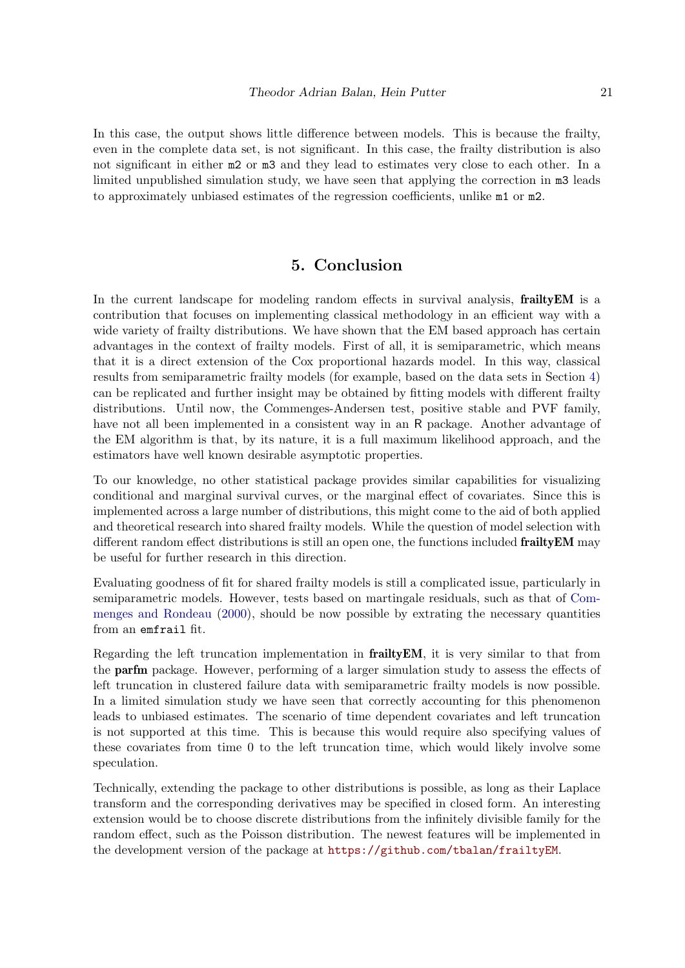In this case, the output shows little difference between models. This is because the frailty, even in the complete data set, is not significant. In this case, the frailty distribution is also not significant in either m2 or m3 and they lead to estimates very close to each other. In a limited unpublished simulation study, we have seen that applying the correction in m3 leads to approximately unbiased estimates of the regression coefficients, unlike m1 or m2.

## 5. Conclusion

In the current landscape for modeling random effects in survival analysis, **frailty EM** is a contribution that focuses on implementing classical methodology in an efficient way with a wide variety of frailty distributions. We have shown that the EM based approach has certain advantages in the context of frailty models. First of all, it is semiparametric, which means that it is a direct extension of the Cox proportional hazards model. In this way, classical results from semiparametric frailty models (for example, based on the data sets in Section [4\)](#page-11-0) can be replicated and further insight may be obtained by fitting models with different frailty distributions. Until now, the Commenges-Andersen test, positive stable and PVF family, have not all been implemented in a consistent way in an R package. Another advantage of the EM algorithm is that, by its nature, it is a full maximum likelihood approach, and the estimators have well known desirable asymptotic properties.

To our knowledge, no other statistical package provides similar capabilities for visualizing conditional and marginal survival curves, or the marginal effect of covariates. Since this is implemented across a large number of distributions, this might come to the aid of both applied and theoretical research into shared frailty models. While the question of model selection with different random effect distributions is still an open one, the functions included **frailty EM** may be useful for further research in this direction.

Evaluating goodness of fit for shared frailty models is still a complicated issue, particularly in semiparametric models. However, tests based on martingale residuals, such as that of [Com](#page-25-12)[menges and Rondeau](#page-25-12) [\(2000\)](#page-25-12), should be now possible by extrating the necessary quantities from an emfrail fit.

Regarding the left truncation implementation in **frailty EM**, it is very similar to that from the parfm package. However, performing of a larger simulation study to assess the effects of left truncation in clustered failure data with semiparametric frailty models is now possible. In a limited simulation study we have seen that correctly accounting for this phenomenon leads to unbiased estimates. The scenario of time dependent covariates and left truncation is not supported at this time. This is because this would require also specifying values of these covariates from time 0 to the left truncation time, which would likely involve some speculation.

Technically, extending the package to other distributions is possible, as long as their Laplace transform and the corresponding derivatives may be specified in closed form. An interesting extension would be to choose discrete distributions from the infinitely divisible family for the random effect, such as the Poisson distribution. The newest features will be implemented in the development version of the package at <https://github.com/tbalan/frailtyEM>.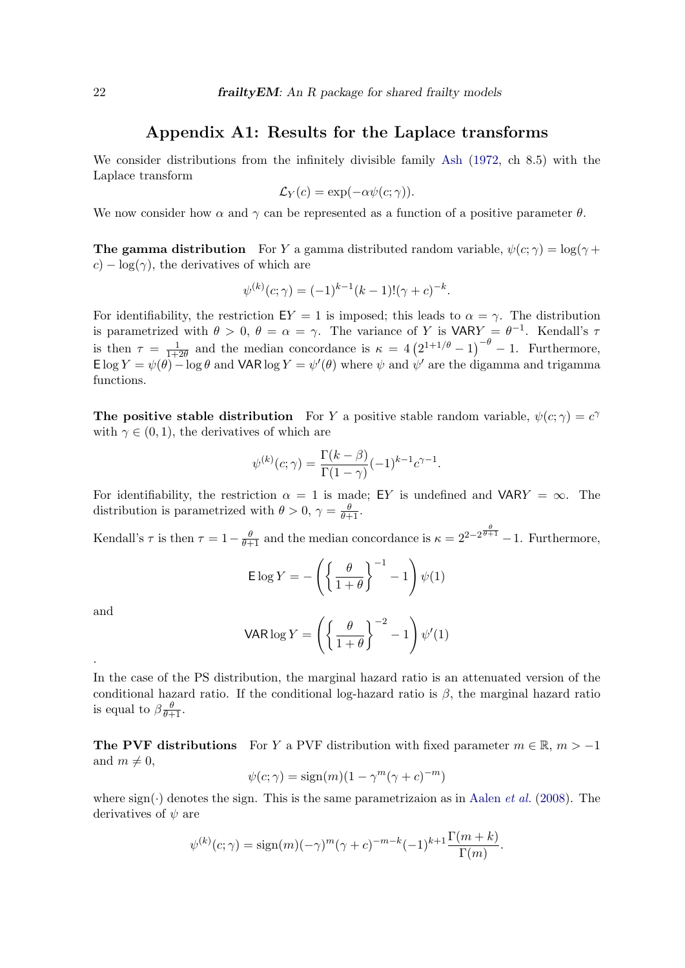### Appendix A1: Results for the Laplace transforms

We consider distributions from the infinitely divisible family [Ash](#page-25-13) [\(1972,](#page-25-13) ch 8.5) with the Laplace transform

$$
\mathcal{L}_Y(c) = \exp(-\alpha \psi(c; \gamma)).
$$

We now consider how  $\alpha$  and  $\gamma$  can be represented as a function of a positive parameter  $\theta$ .

**The gamma distribution** For Y a gamma distributed random variable,  $\psi(c; \gamma) = \log(\gamma + \gamma)$  $c$ ) – log( $\gamma$ ), the derivatives of which are

$$
\psi^{(k)}(c;\gamma) = (-1)^{k-1}(k-1)!(\gamma + c)^{-k}.
$$

For identifiability, the restriction  $EY = 1$  is imposed; this leads to  $\alpha = \gamma$ . The distribution is parametrized with  $\theta > 0$ ,  $\theta = \alpha = \gamma$ . The variance of Y is VARY =  $\theta^{-1}$ . Kendall's  $\tau$ is then  $\tau = \frac{1}{1+r}$  $\frac{1}{1+2\theta}$  and the median concordance is  $\kappa = 4(2^{1+1/\theta} - 1)^{-\theta} - 1$ . Furthermore, E log  $Y = \psi(\theta) - \log \theta$  and VAR log  $Y = \psi'(\theta)$  where  $\psi$  and  $\psi'$  are the digamma and trigamma functions.

The positive stable distribution For Y a positive stable random variable,  $\psi(c;\gamma) = c^{\gamma}$ with  $\gamma \in (0, 1)$ , the derivatives of which are

$$
\psi^{(k)}(c;\gamma) = \frac{\Gamma(k-\beta)}{\Gamma(1-\gamma)} (-1)^{k-1} c^{\gamma-1}.
$$

For identifiability, the restriction  $\alpha = 1$  is made; EY is undefined and VARY =  $\infty$ . The distribution is parametrized with  $\theta > 0$ ,  $\gamma = \frac{\theta}{\theta + 1}$ .

Kendall's  $\tau$  is then  $\tau = 1 - \frac{\theta}{\theta + 1}$  and the median concordance is  $\kappa = 2^{2 - 2^{\frac{\theta}{\theta + 1}}} - 1$ . Furthermore,

$$
\mathsf{E}\log Y = -\left(\left\{\frac{\theta}{1+\theta}\right\}^{-1} - 1\right)\psi(1)
$$

and

.

$$
\text{VAR} \log Y = \left( \left\{ \frac{\theta}{1+\theta} \right\}^{-2} - 1 \right) \psi'(1)
$$

In the case of the PS distribution, the marginal hazard ratio is an attenuated version of the conditional hazard ratio. If the conditional log-hazard ratio is  $\beta$ , the marginal hazard ratio is equal to  $\beta \frac{\theta}{\theta+1}$ .

The PVF distributions For Y a PVF distribution with fixed parameter  $m \in \mathbb{R}$ ,  $m > -1$ and  $m \neq 0$ ,

$$
\psi(c;\gamma) = \text{sign}(m)(1 - \gamma^m(\gamma + c)^{-m})
$$

where  $sign(\cdot)$  denotes the sign. This is the same parametrizaion as in [Aalen](#page-24-0) *et al.* [\(2008\)](#page-24-0). The derivatives of  $\psi$  are

$$
\psi^{(k)}(c;\gamma) = \text{sign}(m)(-\gamma)^m(\gamma + c)^{-m-k}(-1)^{k+1}\frac{\Gamma(m+k)}{\Gamma(m)}.
$$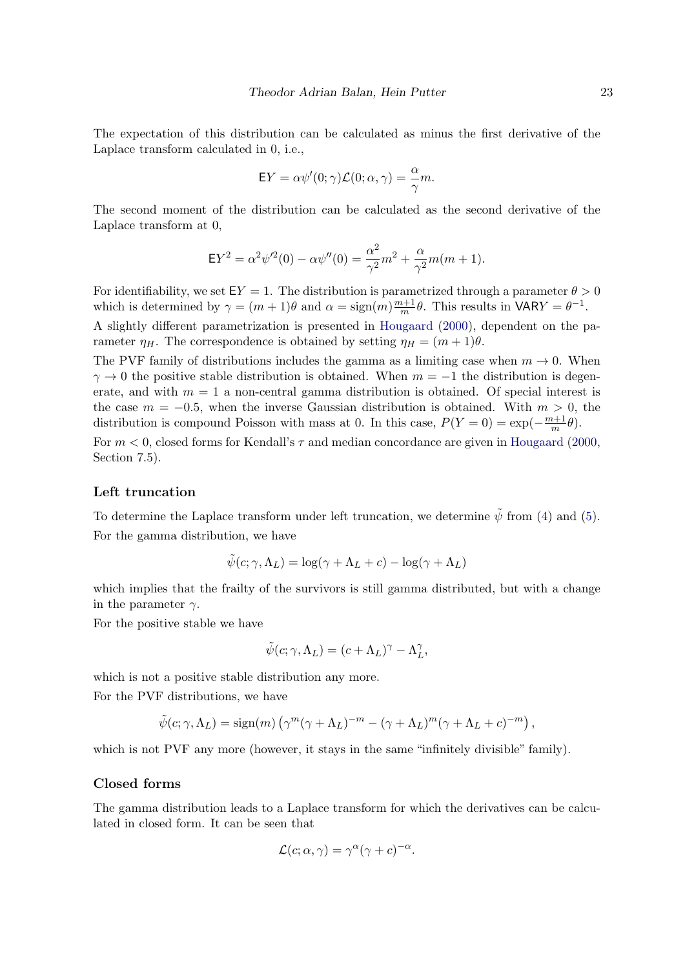The expectation of this distribution can be calculated as minus the first derivative of the Laplace transform calculated in 0, i.e.,

$$
EY = \alpha \psi'(0; \gamma) \mathcal{L}(0; \alpha, \gamma) = \frac{\alpha}{\gamma} m.
$$

The second moment of the distribution can be calculated as the second derivative of the Laplace transform at 0,

$$
EY^{2} = \alpha^{2}\psi'^{2}(0) - \alpha\psi''(0) = \frac{\alpha^{2}}{\gamma^{2}}m^{2} + \frac{\alpha}{\gamma^{2}}m(m+1).
$$

For identifiability, we set  $EY = 1$ . The distribution is parametrized through a parameter  $\theta > 0$ which is determined by  $\gamma = (m+1)\theta$  and  $\alpha = \text{sign}(m)\frac{m+1}{m}$  $\frac{n+1}{m}\theta$ . This results in VARY =  $\theta^{-1}$ .

A slightly different parametrization is presented in [Hougaard](#page-26-2) [\(2000\)](#page-26-2), dependent on the parameter  $\eta_H$ . The correspondence is obtained by setting  $\eta_H = (m+1)\theta$ .

The PVF family of distributions includes the gamma as a limiting case when  $m \to 0$ . When  $\gamma \rightarrow 0$  the positive stable distribution is obtained. When  $m = -1$  the distribution is degenerate, and with  $m = 1$  a non-central gamma distribution is obtained. Of special interest is the case  $m = -0.5$ , when the inverse Gaussian distribution is obtained. With  $m > 0$ , the distribution is compound Poisson with mass at 0. In this case,  $P(Y = 0) = \exp(-\frac{m+1}{m})$  $\frac{n+1}{m}\theta$ ).

For  $m < 0$ , closed forms for Kendall's  $\tau$  and median concordance are given in [Hougaard](#page-26-2) [\(2000,](#page-26-2) Section 7.5).

#### Left truncation

To determine the Laplace transform under left truncation, we determine  $\tilde{\psi}$  from [\(4\)](#page-4-1) and [\(5\)](#page-5-0). For the gamma distribution, we have

$$
\tilde{\psi}(c; \gamma, \Lambda_L) = \log(\gamma + \Lambda_L + c) - \log(\gamma + \Lambda_L)
$$

which implies that the frailty of the survivors is still gamma distributed, but with a change in the parameter  $\gamma$ .

For the positive stable we have

$$
\tilde{\psi}(c; \gamma, \Lambda_L) = (c + \Lambda_L)^{\gamma} - \Lambda_L^{\gamma},
$$

which is not a positive stable distribution any more.

For the PVF distributions, we have

$$
\tilde{\psi}(c; \gamma, \Lambda_L) = \text{sign}(m) \left( \gamma^m (\gamma + \Lambda_L)^{-m} - (\gamma + \Lambda_L)^m (\gamma + \Lambda_L + c)^{-m} \right),
$$

which is not PVF any more (however, it stays in the same "infinitely divisible" family).

#### Closed forms

The gamma distribution leads to a Laplace transform for which the derivatives can be calculated in closed form. It can be seen that

$$
\mathcal{L}(c; \alpha, \gamma) = \gamma^{\alpha} (\gamma + c)^{-\alpha}.
$$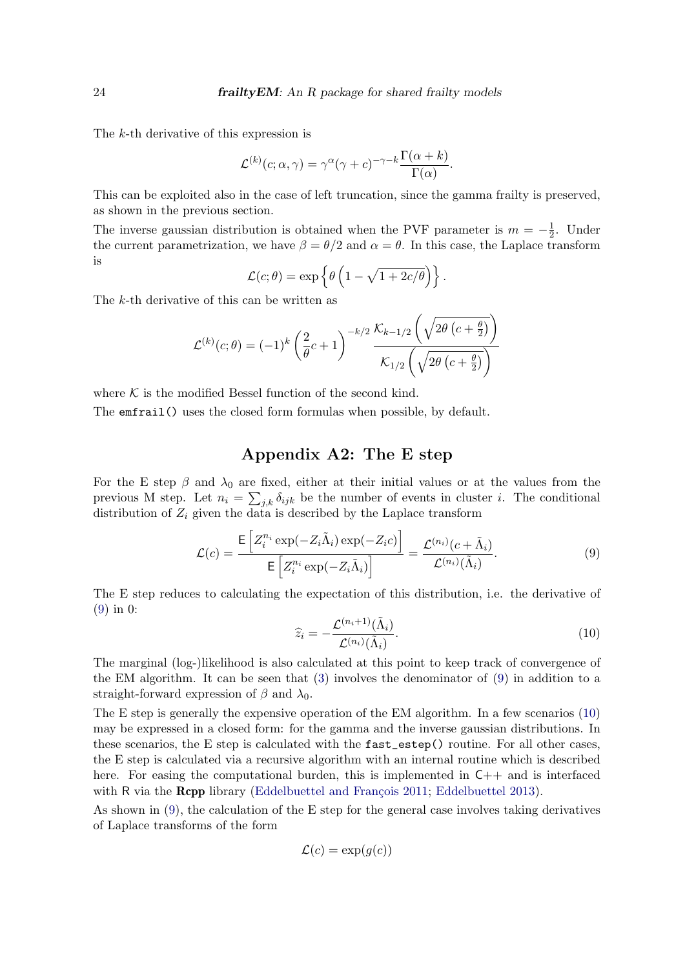The k-th derivative of this expression is

$$
\mathcal{L}^{(k)}(c;\alpha,\gamma) = \gamma^{\alpha}(\gamma + c)^{-\gamma - k} \frac{\Gamma(\alpha + k)}{\Gamma(\alpha)}.
$$

This can be exploited also in the case of left truncation, since the gamma frailty is preserved, as shown in the previous section.

The inverse gaussian distribution is obtained when the PVF parameter is  $m = -\frac{1}{2}$  $\frac{1}{2}$ . Under the current parametrization, we have  $\beta = \theta/2$  and  $\alpha = \theta$ . In this case, the Laplace transform is

$$
\mathcal{L}(c; \theta) = \exp \left\{ \theta \left( 1 - \sqrt{1 + 2c/\theta} \right) \right\}.
$$

The k-th derivative of this can be written as

$$
\mathcal{L}^{(k)}(c;\theta) = (-1)^k \left(\frac{2}{\theta}c+1\right)^{-k/2} \frac{\mathcal{K}_{k-1/2}\left(\sqrt{2\theta\left(c+\frac{\theta}{2}\right)}\right)}{\mathcal{K}_{1/2}\left(\sqrt{2\theta\left(c+\frac{\theta}{2}\right)}\right)}
$$

where  $K$  is the modified Bessel function of the second kind.

The emfrail() uses the closed form formulas when possible, by default.

# Appendix A2: The E step

For the E step  $\beta$  and  $\lambda_0$  are fixed, either at their initial values or at the values from the previous M step. Let  $n_i = \sum_{j,k} \delta_{ijk}$  be the number of events in cluster *i*. The conditional distribution of  $Z_i$  given the data is described by the Laplace transform

$$
\mathcal{L}(c) = \frac{\mathsf{E}\left[Z_i^{n_i} \exp(-Z_i \tilde{\Lambda}_i) \exp(-Z_i c)\right]}{\mathsf{E}\left[Z_i^{n_i} \exp(-Z_i \tilde{\Lambda}_i)\right]} = \frac{\mathcal{L}^{(n_i)}(c + \tilde{\Lambda}_i)}{\mathcal{L}^{(n_i)}(\tilde{\Lambda}_i)}.
$$
\n(9)

<span id="page-23-1"></span>The E step reduces to calculating the expectation of this distribution, i.e. the derivative of [\(9\)](#page-23-0) in 0:

<span id="page-23-0"></span>
$$
\widehat{z}_i = -\frac{\mathcal{L}^{(n_i+1)}(\tilde{\Lambda}_i)}{\mathcal{L}^{(n_i)}(\tilde{\Lambda}_i)}.
$$
\n(10)

The marginal (log-)likelihood is also calculated at this point to keep track of convergence of the EM algorithm. It can be seen that [\(3\)](#page-4-0) involves the denominator of [\(9\)](#page-23-0) in addition to a straight-forward expression of  $\beta$  and  $\lambda_0$ .

The E step is generally the expensive operation of the EM algorithm. In a few scenarios [\(10\)](#page-23-1) may be expressed in a closed form: for the gamma and the inverse gaussian distributions. In these scenarios, the E step is calculated with the fast\_estep() routine. For all other cases, the E step is calculated via a recursive algorithm with an internal routine which is described here. For easing the computational burden, this is implemented in  $C++$  and is interfaced with  $R$  via the **Rcpp** library (Eddelbuettel and François [2011;](#page-25-14) [Eddelbuettel](#page-25-15) [2013\)](#page-25-15).

As shown in [\(9\)](#page-23-0), the calculation of the E step for the general case involves taking derivatives of Laplace transforms of the form

$$
\mathcal{L}(c) = \exp(g(c))
$$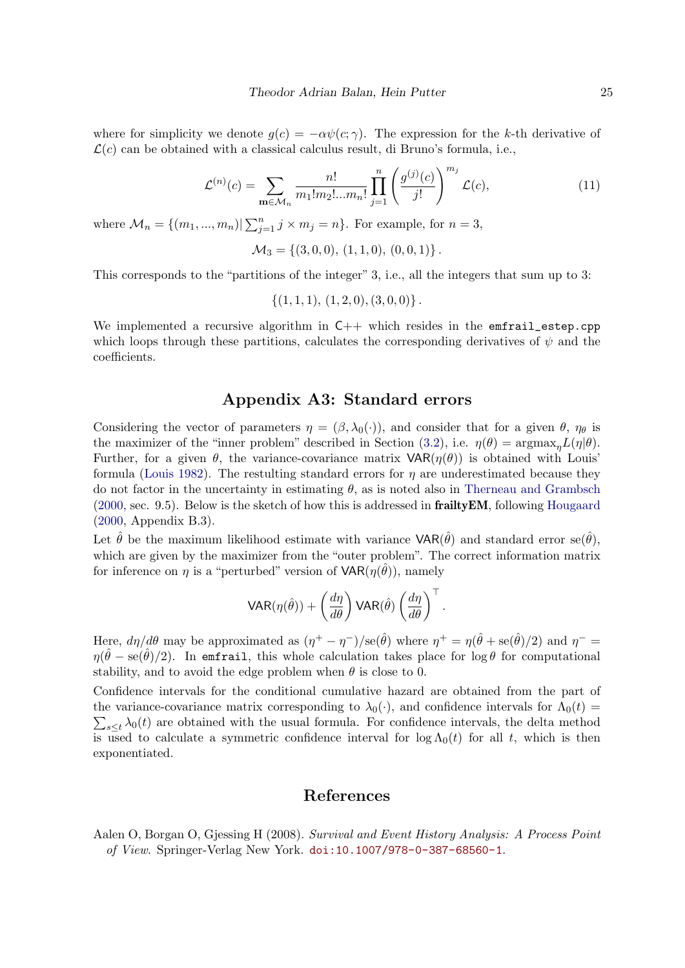where for simplicity we denote  $g(c) = -\alpha \psi(c; \gamma)$ . The expression for the k-th derivative of  $\mathcal{L}(c)$  can be obtained with a classical calculus result, di Bruno's formula, i.e.,

$$
\mathcal{L}^{(n)}(c) = \sum_{\mathbf{m} \in \mathcal{M}_n} \frac{n!}{m_1! m_2! \dots m_n!} \prod_{j=1}^n \left( \frac{g^{(j)}(c)}{j!} \right)^{m_j} \mathcal{L}(c),\tag{11}
$$

where  $\mathcal{M}_n = \{(m_1, ..., m_n) | \sum_{j=1}^n j \times m_j = n\}$ . For example, for  $n = 3$ ,

$$
\mathcal{M}_3 = \{ (3,0,0), (1,1,0), (0,0,1) \}.
$$

This corresponds to the "partitions of the integer" 3, i.e., all the integers that sum up to 3:

$$
\{(1,1,1), (1,2,0), (3,0,0)\}.
$$

We implemented a recursive algorithm in  $C++$  which resides in the emfrail\_estep.cpp which loops through these partitions, calculates the corresponding derivatives of  $\psi$  and the coefficients.

# Appendix A3: Standard errors

Considering the vector of parameters  $\eta = (\beta, \lambda_0(\cdot))$ , and consider that for a given  $\theta$ ,  $\eta_\theta$  is the maximizer of the "inner problem" described in Section [\(3.2\)](#page-8-0), i.e.  $\eta(\theta) = \text{argmax}_{n} L(\eta|\theta)$ . Further, for a given  $\theta$ , the variance-covariance matrix  $VAR(\eta(\theta))$  is obtained with Louis' formula [\(Louis](#page-26-12) [1982\)](#page-26-12). The restulting standard errors for  $\eta$  are underestimated because they do not factor in the uncertainty in estimating  $\theta$ , as is noted also in [Therneau and Grambsch](#page-27-4) [\(2000,](#page-27-4) sec. 9.5). Below is the sketch of how this is addressed in frailtyEM, following [Hougaard](#page-26-2) [\(2000,](#page-26-2) Appendix B.3).

Let  $\hat{\theta}$  be the maximum likelihood estimate with variance  $VAR(\hat{\theta})$  and standard error se $(\hat{\theta})$ , which are given by the maximizer from the "outer problem". The correct information matrix for inference on  $\eta$  is a "perturbed" version of  $VAR(\eta(\hat{\theta}))$ , namely

$$
\text{VAR}(\eta(\hat{\theta})) + \left(\frac{d\eta}{d\theta}\right) \text{VAR}(\hat{\theta}) \left(\frac{d\eta}{d\theta}\right)^{\top}.
$$

Here,  $d\eta/d\theta$  may be approximated as  $(\eta^+ - \eta^-)/\text{se}(\hat{\theta})$  where  $\eta^+ = \eta(\hat{\theta} + \text{se}(\hat{\theta})/2)$  and  $\eta^- =$  $\eta(\hat{\theta} - \text{se}(\hat{\theta})/2)$ . In emfrail, this whole calculation takes place for log  $\theta$  for computational stability, and to avoid the edge problem when  $\theta$  is close to 0.

Confidence intervals for the conditional cumulative hazard are obtained from the part of the variance-covariance matrix corresponding to  $\lambda_0(\cdot)$ , and confidence intervals for  $\Lambda_0(t)$  $\sum_{s\leq t} \lambda_0(t)$  are obtained with the usual formula. For confidence intervals, the delta method is used to calculate a symmetric confidence interval for  $\log \Lambda_0(t)$  for all t, which is then exponentiated.

## References

<span id="page-24-0"></span>Aalen O, Borgan O, Gjessing H (2008). Survival and Event History Analysis: A Process Point of View. Springer-Verlag New York. [doi:10.1007/978-0-387-68560-1](http://dx.doi.org/10.1007/978-0-387-68560-1).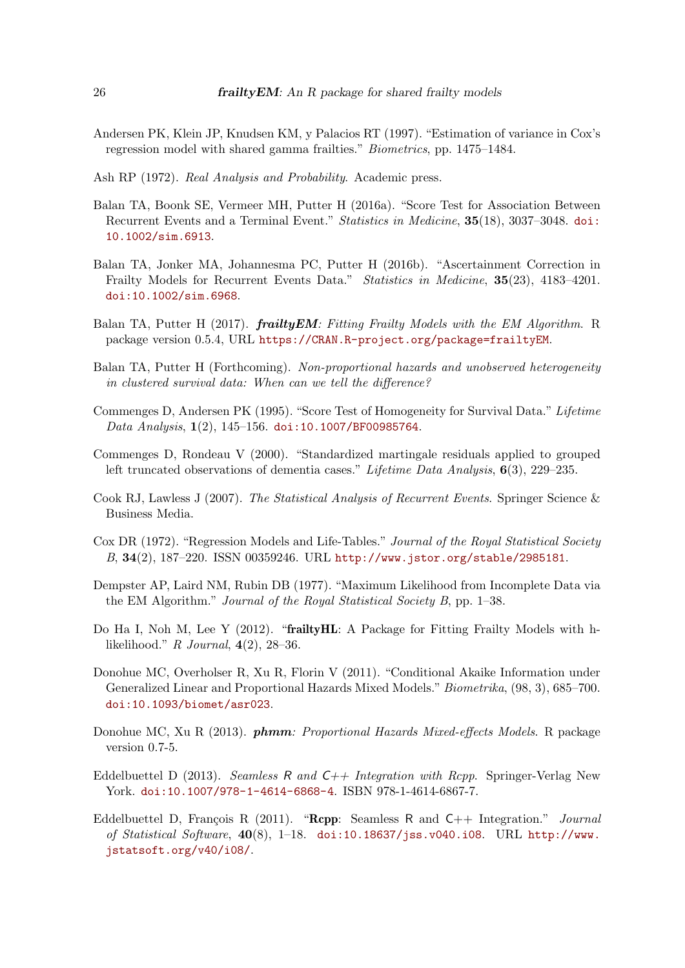- <span id="page-25-8"></span>Andersen PK, Klein JP, Knudsen KM, y Palacios RT (1997). "Estimation of variance in Cox's regression model with shared gamma frailties." Biometrics, pp. 1475–1484.
- <span id="page-25-13"></span>Ash RP (1972). Real Analysis and Probability. Academic press.
- <span id="page-25-10"></span>Balan TA, Boonk SE, Vermeer MH, Putter H (2016a). "Score Test for Association Between Recurrent Events and a Terminal Event." Statistics in Medicine, 35(18), 3037–3048. [doi:](http://dx.doi.org/10.1002/sim.6913) [10.1002/sim.6913](http://dx.doi.org/10.1002/sim.6913).
- <span id="page-25-7"></span>Balan TA, Jonker MA, Johannesma PC, Putter H (2016b). "Ascertainment Correction in Frailty Models for Recurrent Events Data." Statistics in Medicine, 35(23), 4183–4201. [doi:10.1002/sim.6968](http://dx.doi.org/10.1002/sim.6968).
- <span id="page-25-4"></span>Balan TA, Putter H (2017). *frailty EM: Fitting Frailty Models with the EM Algorithm.* R package version 0.5.4, URL <https://CRAN.R-project.org/package=frailtyEM>.
- <span id="page-25-11"></span>Balan TA, Putter H (Forthcoming). Non-proportional hazards and unobserved heterogeneity in clustered survival data: When can we tell the difference?
- <span id="page-25-9"></span>Commenges D, Andersen PK (1995). "Score Test of Homogeneity for Survival Data." Lifetime Data Analysis, 1(2), 145-156. [doi:10.1007/BF00985764](http://dx.doi.org/10.1007/BF00985764).
- <span id="page-25-12"></span>Commenges D, Rondeau V (2000). "Standardized martingale residuals applied to grouped left truncated observations of dementia cases." Lifetime Data Analysis, 6(3), 229–235.
- <span id="page-25-6"></span>Cook RJ, Lawless J (2007). The Statistical Analysis of Recurrent Events. Springer Science & Business Media.
- <span id="page-25-0"></span>Cox DR (1972). "Regression Models and Life-Tables." Journal of the Royal Statistical Society B, 34(2), 187–220. ISSN 00359246. URL <http://www.jstor.org/stable/2985181>.
- <span id="page-25-5"></span>Dempster AP, Laird NM, Rubin DB (1977). "Maximum Likelihood from Incomplete Data via the EM Algorithm." Journal of the Royal Statistical Society B, pp. 1–38.
- <span id="page-25-1"></span>Do Ha I, Noh M, Lee Y (2012). "frailty HL: A Package for Fitting Frailty Models with hlikelihood." R Journal,  $4(2)$ , 28–36.
- <span id="page-25-3"></span>Donohue MC, Overholser R, Xu R, Florin V (2011). "Conditional Akaike Information under Generalized Linear and Proportional Hazards Mixed Models." Biometrika, (98, 3), 685–700. [doi:10.1093/biomet/asr023](http://dx.doi.org/10.1093/biomet/asr023).
- <span id="page-25-2"></span>Donohue MC, Xu R (2013). **phmm**: Proportional Hazards Mixed-effects Models. R package version 0.7-5.
- <span id="page-25-15"></span>Eddelbuettel D (2013). Seamless R and  $C_{++}$  Integration with Rcpp. Springer-Verlag New York. [doi:10.1007/978-1-4614-6868-4](http://dx.doi.org/10.1007/978-1-4614-6868-4). ISBN 978-1-4614-6867-7.
- <span id="page-25-14"></span>Eddelbuettel D, François R (2011). "Rcpp: Seamless R and  $C++$  Integration." Journal of Statistical Software,  $40(8)$ , 1-18. [doi:10.18637/jss.v040.i08](http://dx.doi.org/10.18637/jss.v040.i08). URL [http://www.](http://www.jstatsoft.org/v40/i08/) [jstatsoft.org/v40/i08/](http://www.jstatsoft.org/v40/i08/).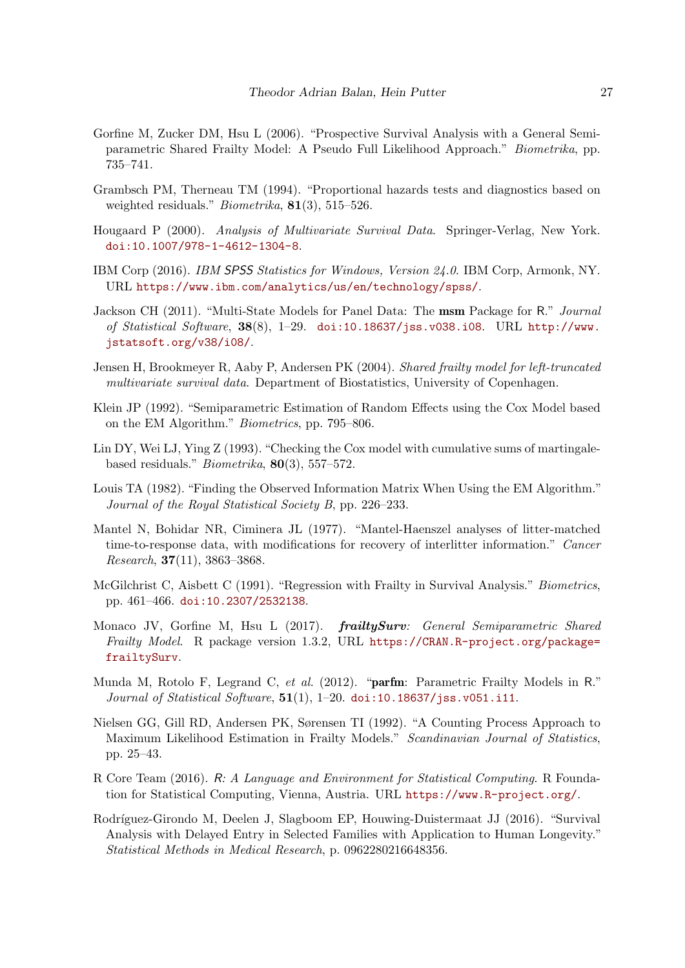- <span id="page-26-4"></span>Gorfine M, Zucker DM, Hsu L (2006). "Prospective Survival Analysis with a General Semiparametric Shared Frailty Model: A Pseudo Full Likelihood Approach." Biometrika, pp. 735–741.
- <span id="page-26-9"></span>Grambsch PM, Therneau TM (1994). "Proportional hazards tests and diagnostics based on weighted residuals." *Biometrika*, **81**(3), 515–526.
- <span id="page-26-2"></span>Hougaard P (2000). Analysis of Multivariate Survival Data. Springer-Verlag, New York. [doi:10.1007/978-1-4612-1304-8](http://dx.doi.org/10.1007/978-1-4612-1304-8).
- <span id="page-26-1"></span>IBM Corp (2016). IBM SPSS Statistics for Windows, Version 24.0. IBM Corp, Armonk, NY. URL <https://www.ibm.com/analytics/us/en/technology/spss/>.
- <span id="page-26-13"></span>Jackson CH (2011). "Multi-State Models for Panel Data: The msm Package for R." Journal of Statistical Software, 38(8), 1–29. [doi:10.18637/jss.v038.i08](http://dx.doi.org/10.18637/jss.v038.i08). URL [http://www.](http://www.jstatsoft.org/v38/i08/) [jstatsoft.org/v38/i08/](http://www.jstatsoft.org/v38/i08/).
- <span id="page-26-6"></span>Jensen H, Brookmeyer R, Aaby P, Andersen PK (2004). Shared frailty model for left-truncated multivariate survival data. Department of Biostatistics, University of Copenhagen.
- <span id="page-26-11"></span>Klein JP (1992). "Semiparametric Estimation of Random Effects using the Cox Model based on the EM Algorithm." Biometrics, pp. 795–806.
- <span id="page-26-8"></span>Lin DY, Wei LJ, Ying Z (1993). "Checking the Cox model with cumulative sums of martingalebased residuals." Biometrika, 80(3), 557–572.
- <span id="page-26-12"></span>Louis TA (1982). "Finding the Observed Information Matrix When Using the EM Algorithm." Journal of the Royal Statistical Society B, pp. 226–233.
- <span id="page-26-15"></span>Mantel N, Bohidar NR, Ciminera JL (1977). "Mantel-Haenszel analyses of litter-matched time-to-response data, with modifications for recovery of interlitter information." Cancer Research, 37(11), 3863–3868.
- <span id="page-26-14"></span>McGilchrist C, Aisbett C (1991). "Regression with Frailty in Survival Analysis." Biometrics, pp. 461–466. [doi:10.2307/2532138](http://dx.doi.org/10.2307/2532138).
- <span id="page-26-3"></span>Monaco JV, Gorfine M, Hsu L (2017). *frailtySurv: General Semiparametric Shared* Frailty Model. R package version 1.3.2, URL [https://CRAN.R-project.org/package=](https://CRAN.R-project.org/package=frailtySurv) [frailtySurv](https://CRAN.R-project.org/package=frailtySurv).
- <span id="page-26-5"></span>Munda M, Rotolo F, Legrand C, et al. (2012). "**parfm**: Parametric Frailty Models in R." Journal of Statistical Software,  $51(1)$ , 1-20. [doi:10.18637/jss.v051.i11](http://dx.doi.org/10.18637/jss.v051.i11).
- <span id="page-26-10"></span>Nielsen GG, Gill RD, Andersen PK, Sørensen TI (1992). "A Counting Process Approach to Maximum Likelihood Estimation in Frailty Models." Scandinavian Journal of Statistics, pp. 25–43.
- <span id="page-26-0"></span>R Core Team (2016). R: A Language and Environment for Statistical Computing. R Foundation for Statistical Computing, Vienna, Austria. URL <https://www.R-project.org/>.
- <span id="page-26-7"></span>Rodríguez-Girondo M, Deelen J, Slagboom EP, Houwing-Duistermaat JJ (2016). "Survival Analysis with Delayed Entry in Selected Families with Application to Human Longevity." Statistical Methods in Medical Research, p. 0962280216648356.